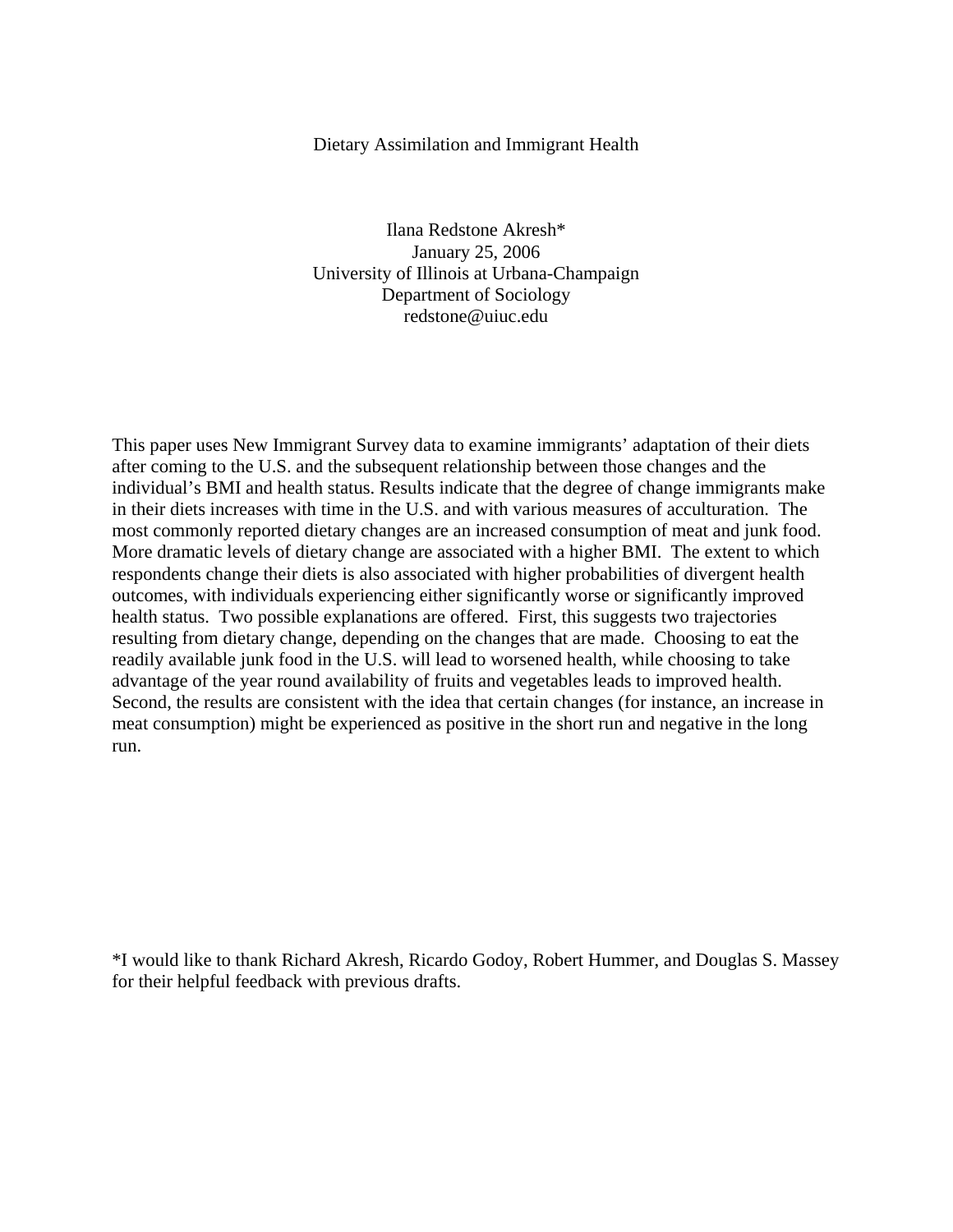# Dietary Assimilation and Immigrant Health

Ilana Redstone Akresh\* January 25, 2006 University of Illinois at Urbana-Champaign Department of Sociology redstone@uiuc.edu

This paper uses New Immigrant Survey data to examine immigrants' adaptation of their diets after coming to the U.S. and the subsequent relationship between those changes and the individual's BMI and health status. Results indicate that the degree of change immigrants make in their diets increases with time in the U.S. and with various measures of acculturation. The most commonly reported dietary changes are an increased consumption of meat and junk food. More dramatic levels of dietary change are associated with a higher BMI. The extent to which respondents change their diets is also associated with higher probabilities of divergent health outcomes, with individuals experiencing either significantly worse or significantly improved health status. Two possible explanations are offered. First, this suggests two trajectories resulting from dietary change, depending on the changes that are made. Choosing to eat the readily available junk food in the U.S. will lead to worsened health, while choosing to take advantage of the year round availability of fruits and vegetables leads to improved health. Second, the results are consistent with the idea that certain changes (for instance, an increase in meat consumption) might be experienced as positive in the short run and negative in the long run.

\*I would like to thank Richard Akresh, Ricardo Godoy, Robert Hummer, and Douglas S. Massey for their helpful feedback with previous drafts.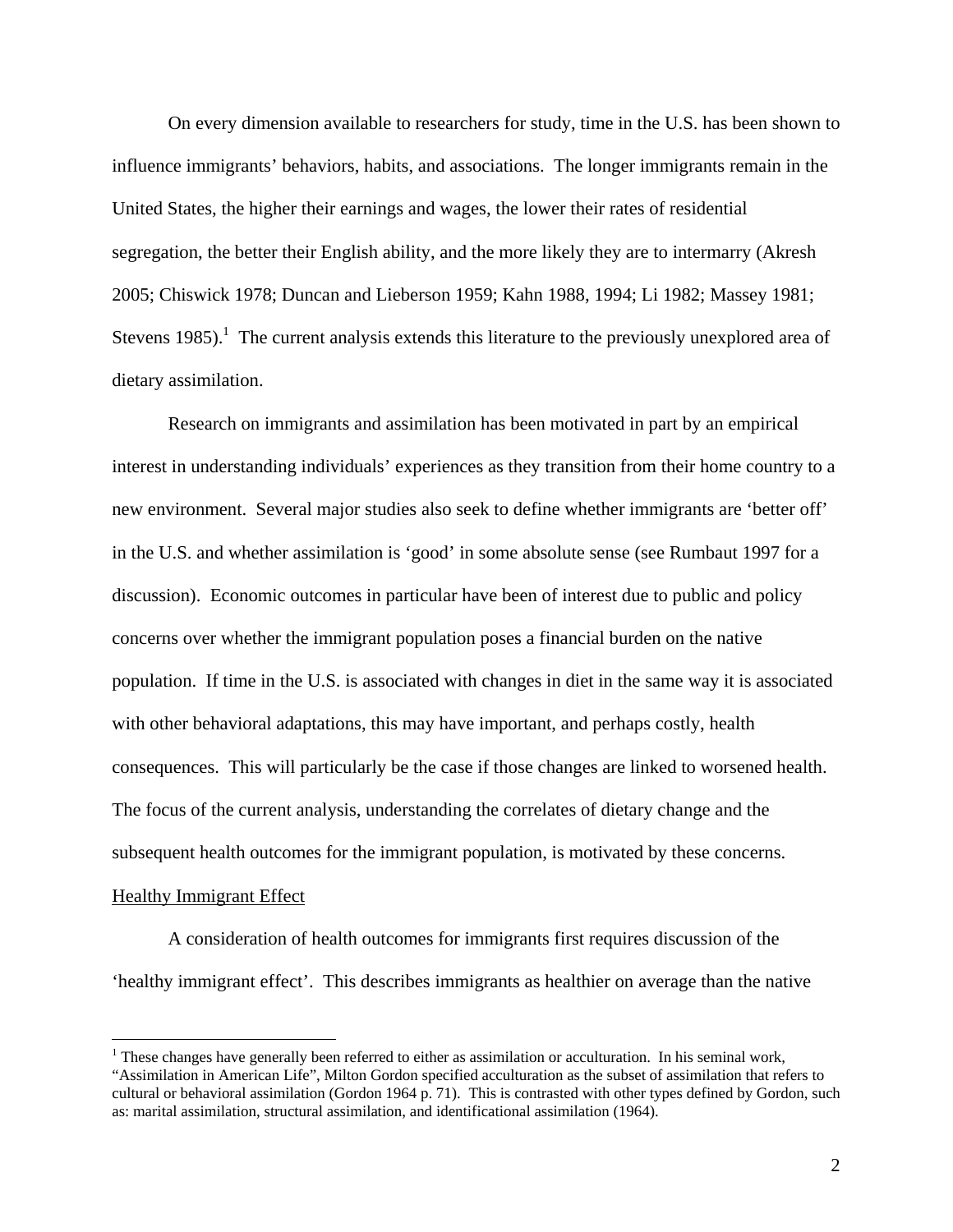On every dimension available to researchers for study, time in the U.S. has been shown to influence immigrants' behaviors, habits, and associations. The longer immigrants remain in the United States, the higher their earnings and wages, the lower their rates of residential segregation, the better their English ability, and the more likely they are to intermarry (Akresh 2005; Chiswick 1978; Duncan and Lieberson 1959; Kahn 1988, 1994; Li 1982; Massey 1981; Stevens 1985).<sup>1</sup> The current analysis extends this literature to the previously unexplored area of dietary assimilation.

Research on immigrants and assimilation has been motivated in part by an empirical interest in understanding individuals' experiences as they transition from their home country to a new environment. Several major studies also seek to define whether immigrants are 'better off' in the U.S. and whether assimilation is 'good' in some absolute sense (see Rumbaut 1997 for a discussion). Economic outcomes in particular have been of interest due to public and policy concerns over whether the immigrant population poses a financial burden on the native population. If time in the U.S. is associated with changes in diet in the same way it is associated with other behavioral adaptations, this may have important, and perhaps costly, health consequences. This will particularly be the case if those changes are linked to worsened health. The focus of the current analysis, understanding the correlates of dietary change and the subsequent health outcomes for the immigrant population, is motivated by these concerns. Healthy Immigrant Effect

A consideration of health outcomes for immigrants first requires discussion of the 'healthy immigrant effect'. This describes immigrants as healthier on average than the native

<u>.</u>

<sup>&</sup>lt;sup>1</sup> These changes have generally been referred to either as assimilation or acculturation. In his seminal work, "Assimilation in American Life", Milton Gordon specified acculturation as the subset of assimilation that refers to cultural or behavioral assimilation (Gordon 1964 p. 71). This is contrasted with other types defined by Gordon, such as: marital assimilation, structural assimilation, and identificational assimilation (1964).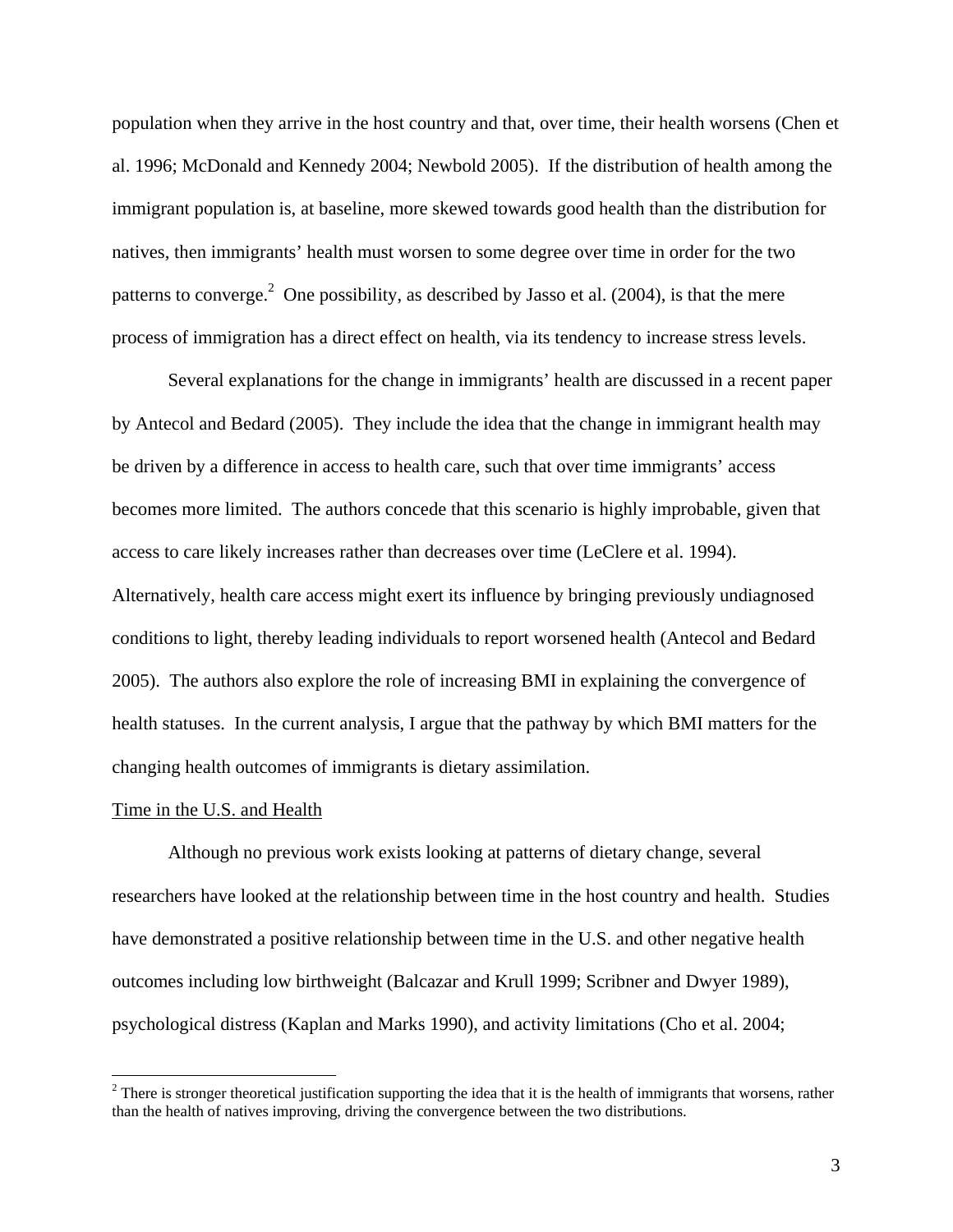population when they arrive in the host country and that, over time, their health worsens (Chen et al. 1996; McDonald and Kennedy 2004; Newbold 2005). If the distribution of health among the immigrant population is, at baseline, more skewed towards good health than the distribution for natives, then immigrants' health must worsen to some degree over time in order for the two patterns to converge.<sup>2</sup> One possibility, as described by Jasso et al.  $(2004)$ , is that the mere process of immigration has a direct effect on health, via its tendency to increase stress levels.

Several explanations for the change in immigrants' health are discussed in a recent paper by Antecol and Bedard (2005). They include the idea that the change in immigrant health may be driven by a difference in access to health care, such that over time immigrants' access becomes more limited. The authors concede that this scenario is highly improbable, given that access to care likely increases rather than decreases over time (LeClere et al. 1994). Alternatively, health care access might exert its influence by bringing previously undiagnosed conditions to light, thereby leading individuals to report worsened health (Antecol and Bedard 2005). The authors also explore the role of increasing BMI in explaining the convergence of health statuses. In the current analysis, I argue that the pathway by which BMI matters for the changing health outcomes of immigrants is dietary assimilation.

#### Time in the U.S. and Health

 $\overline{a}$ 

Although no previous work exists looking at patterns of dietary change, several researchers have looked at the relationship between time in the host country and health. Studies have demonstrated a positive relationship between time in the U.S. and other negative health outcomes including low birthweight (Balcazar and Krull 1999; Scribner and Dwyer 1989), psychological distress (Kaplan and Marks 1990), and activity limitations (Cho et al. 2004;

 $2^2$  There is stronger theoretical justification supporting the idea that it is the health of immigrants that worsens, rather than the health of natives improving, driving the convergence between the two distributions.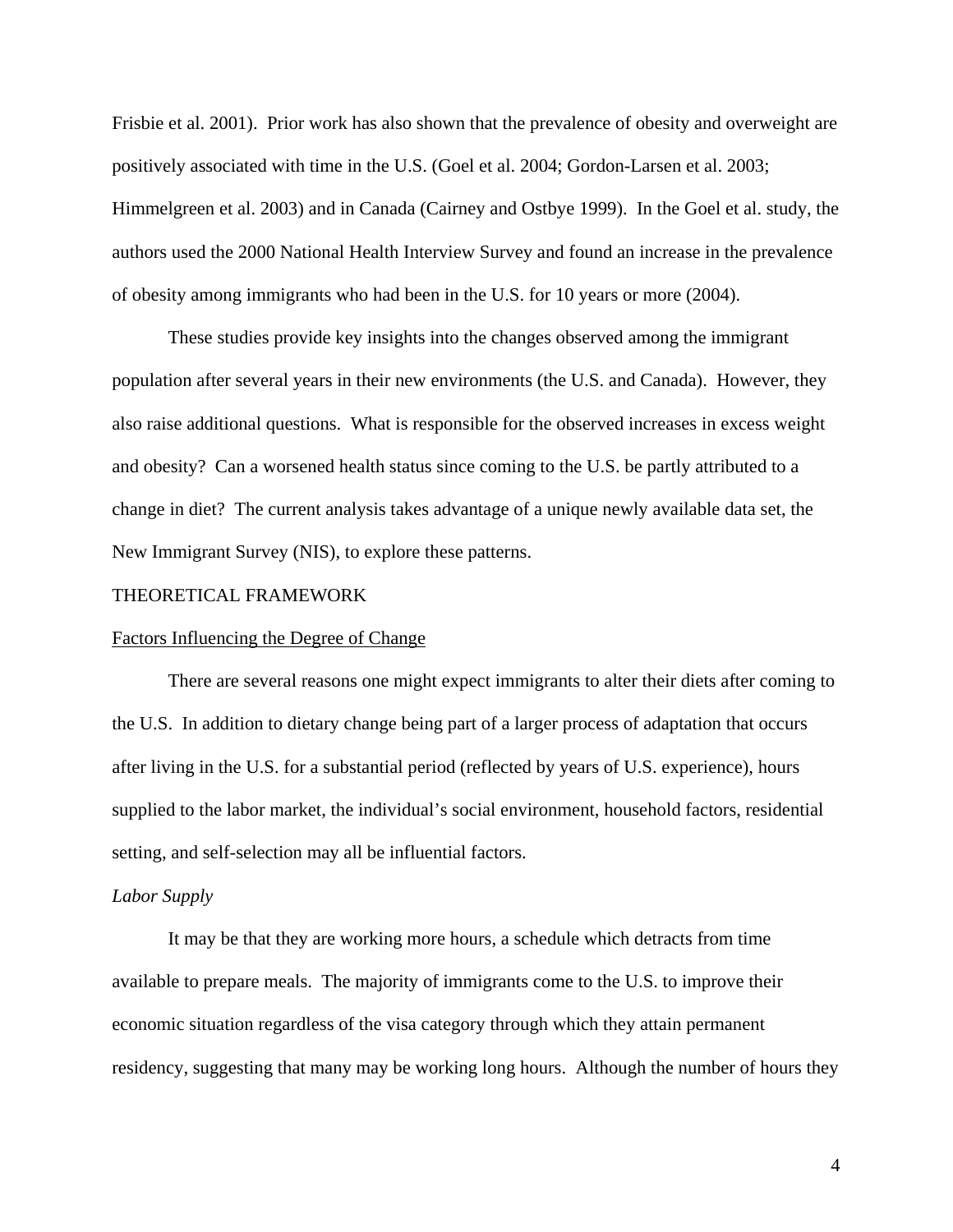Frisbie et al. 2001). Prior work has also shown that the prevalence of obesity and overweight are positively associated with time in the U.S. (Goel et al. 2004; Gordon-Larsen et al. 2003; Himmelgreen et al. 2003) and in Canada (Cairney and Ostbye 1999). In the Goel et al. study, the authors used the 2000 National Health Interview Survey and found an increase in the prevalence of obesity among immigrants who had been in the U.S. for 10 years or more (2004).

These studies provide key insights into the changes observed among the immigrant population after several years in their new environments (the U.S. and Canada). However, they also raise additional questions. What is responsible for the observed increases in excess weight and obesity? Can a worsened health status since coming to the U.S. be partly attributed to a change in diet? The current analysis takes advantage of a unique newly available data set, the New Immigrant Survey (NIS), to explore these patterns.

# THEORETICAL FRAMEWORK

# Factors Influencing the Degree of Change

There are several reasons one might expect immigrants to alter their diets after coming to the U.S. In addition to dietary change being part of a larger process of adaptation that occurs after living in the U.S. for a substantial period (reflected by years of U.S. experience), hours supplied to the labor market, the individual's social environment, household factors, residential setting, and self-selection may all be influential factors.

# *Labor Supply*

It may be that they are working more hours, a schedule which detracts from time available to prepare meals. The majority of immigrants come to the U.S. to improve their economic situation regardless of the visa category through which they attain permanent residency, suggesting that many may be working long hours. Although the number of hours they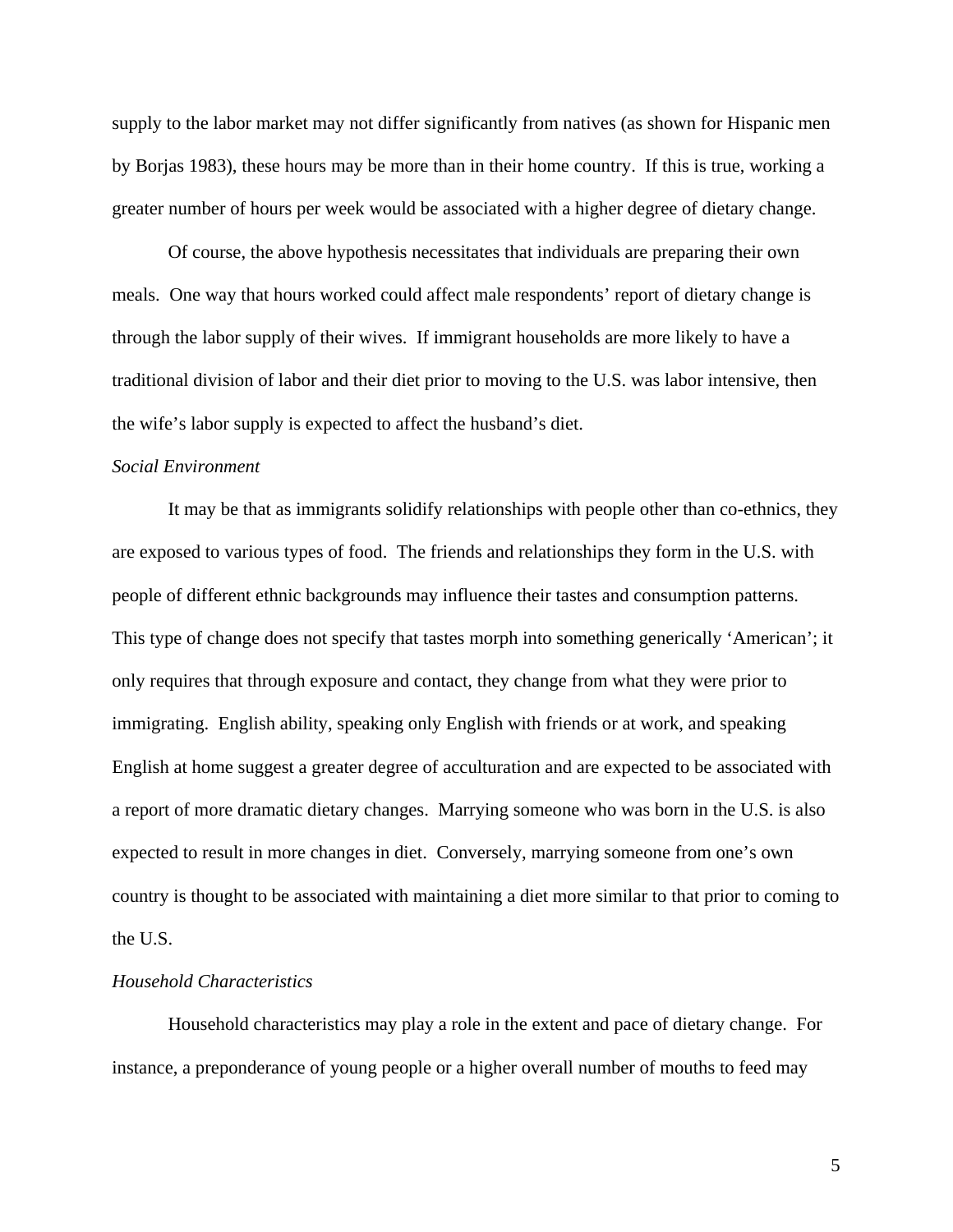supply to the labor market may not differ significantly from natives (as shown for Hispanic men by Borjas 1983), these hours may be more than in their home country. If this is true, working a greater number of hours per week would be associated with a higher degree of dietary change.

Of course, the above hypothesis necessitates that individuals are preparing their own meals. One way that hours worked could affect male respondents' report of dietary change is through the labor supply of their wives. If immigrant households are more likely to have a traditional division of labor and their diet prior to moving to the U.S. was labor intensive, then the wife's labor supply is expected to affect the husband's diet.

# *Social Environment*

It may be that as immigrants solidify relationships with people other than co-ethnics, they are exposed to various types of food. The friends and relationships they form in the U.S. with people of different ethnic backgrounds may influence their tastes and consumption patterns. This type of change does not specify that tastes morph into something generically 'American'; it only requires that through exposure and contact, they change from what they were prior to immigrating. English ability, speaking only English with friends or at work, and speaking English at home suggest a greater degree of acculturation and are expected to be associated with a report of more dramatic dietary changes. Marrying someone who was born in the U.S. is also expected to result in more changes in diet. Conversely, marrying someone from one's own country is thought to be associated with maintaining a diet more similar to that prior to coming to the U.S.

### *Household Characteristics*

Household characteristics may play a role in the extent and pace of dietary change. For instance, a preponderance of young people or a higher overall number of mouths to feed may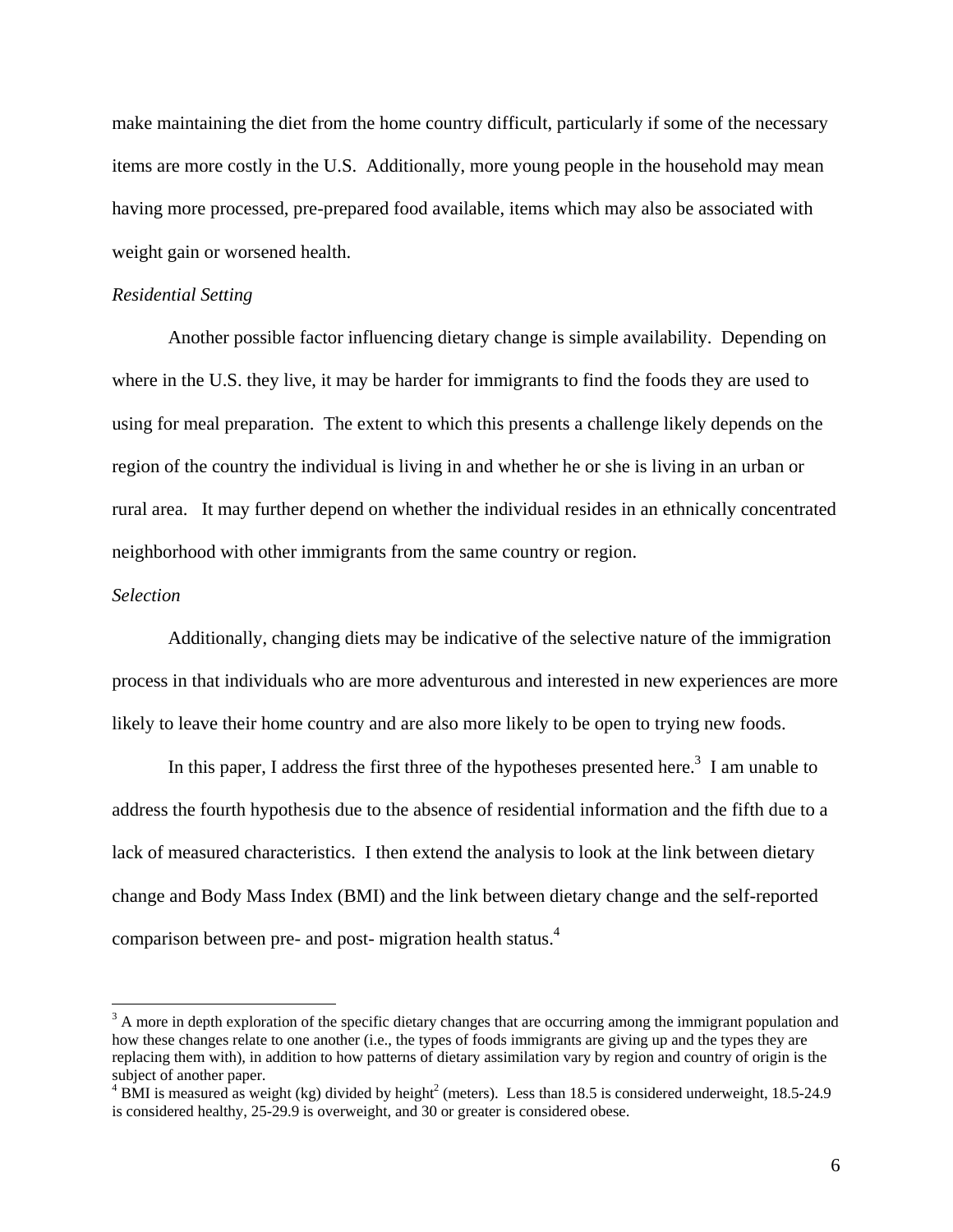make maintaining the diet from the home country difficult, particularly if some of the necessary items are more costly in the U.S. Additionally, more young people in the household may mean having more processed, pre-prepared food available, items which may also be associated with weight gain or worsened health.

# *Residential Setting*

Another possible factor influencing dietary change is simple availability. Depending on where in the U.S. they live, it may be harder for immigrants to find the foods they are used to using for meal preparation. The extent to which this presents a challenge likely depends on the region of the country the individual is living in and whether he or she is living in an urban or rural area. It may further depend on whether the individual resides in an ethnically concentrated neighborhood with other immigrants from the same country or region.

# *Selection*

1

Additionally, changing diets may be indicative of the selective nature of the immigration process in that individuals who are more adventurous and interested in new experiences are more likely to leave their home country and are also more likely to be open to trying new foods.

In this paper, I address the first three of the hypotheses presented here.<sup>3</sup> I am unable to address the fourth hypothesis due to the absence of residential information and the fifth due to a lack of measured characteristics. I then extend the analysis to look at the link between dietary change and Body Mass Index (BMI) and the link between dietary change and the self-reported comparison between pre- and post- migration health status.4

 $3$  A more in depth exploration of the specific dietary changes that are occurring among the immigrant population and how these changes relate to one another (i.e., the types of foods immigrants are giving up and the types they are replacing them with), in addition to how patterns of dietary assimilation vary by region and country of origin is the subject of another paper.

 $4$  BMI is measured as weight (kg) divided by height<sup>2</sup> (meters). Less than 18.5 is considered underweight, 18.5-24.9 is considered healthy, 25-29.9 is overweight, and 30 or greater is considered obese.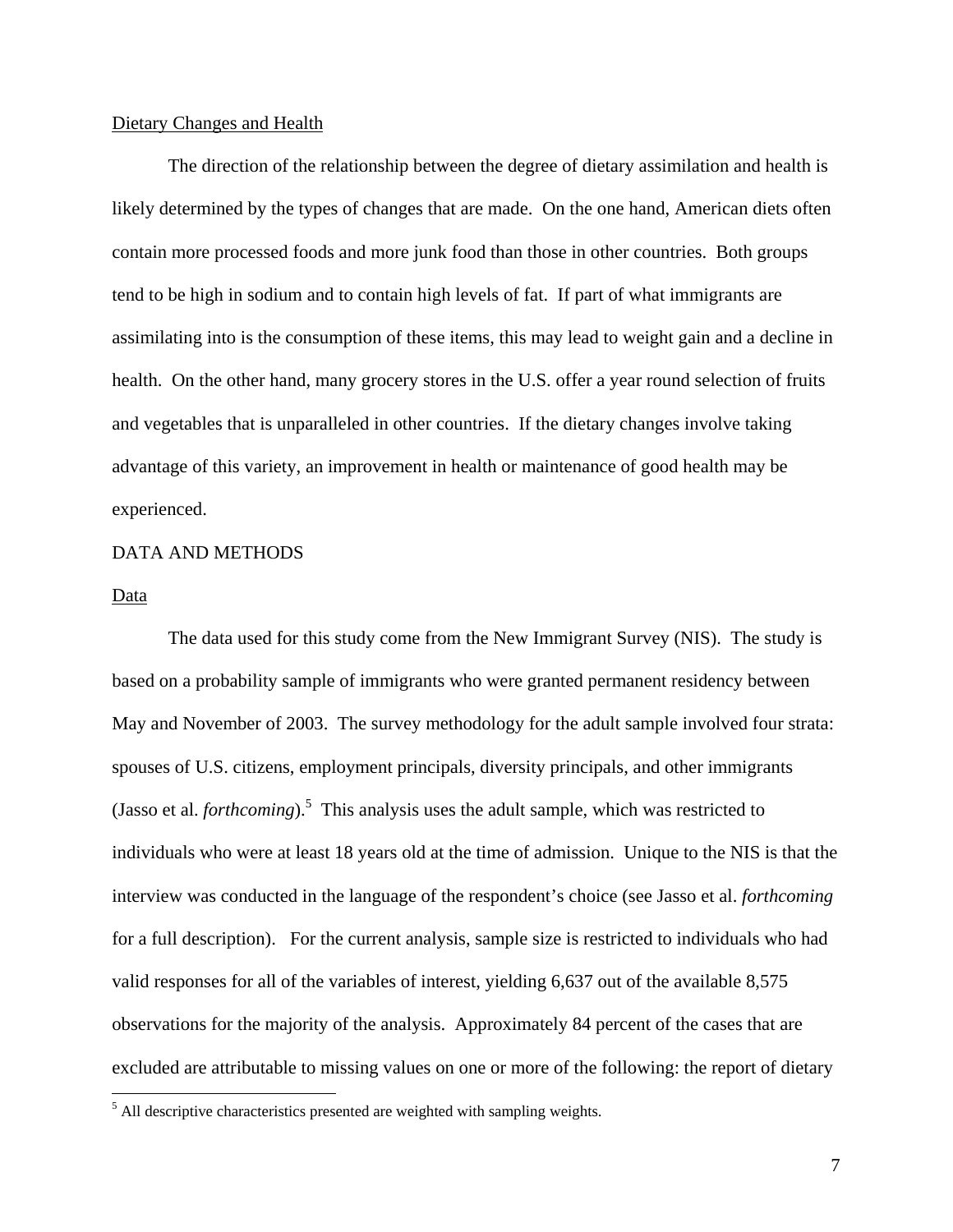# Dietary Changes and Health

The direction of the relationship between the degree of dietary assimilation and health is likely determined by the types of changes that are made. On the one hand, American diets often contain more processed foods and more junk food than those in other countries. Both groups tend to be high in sodium and to contain high levels of fat. If part of what immigrants are assimilating into is the consumption of these items, this may lead to weight gain and a decline in health. On the other hand, many grocery stores in the U.S. offer a year round selection of fruits and vegetables that is unparalleled in other countries. If the dietary changes involve taking advantage of this variety, an improvement in health or maintenance of good health may be experienced.

# DATA AND METHODS

#### Data

The data used for this study come from the New Immigrant Survey (NIS). The study is based on a probability sample of immigrants who were granted permanent residency between May and November of 2003. The survey methodology for the adult sample involved four strata: spouses of U.S. citizens, employment principals, diversity principals, and other immigrants (Jasso et al. *forthcoming*).<sup>5</sup> This analysis uses the adult sample, which was restricted to individuals who were at least 18 years old at the time of admission. Unique to the NIS is that the interview was conducted in the language of the respondent's choice (see Jasso et al. *forthcoming*  for a full description). For the current analysis, sample size is restricted to individuals who had valid responses for all of the variables of interest, yielding 6,637 out of the available 8,575 observations for the majority of the analysis. Approximately 84 percent of the cases that are excluded are attributable to missing values on one or more of the following: the report of dietary <u>.</u>

 $<sup>5</sup>$  All descriptive characteristics presented are weighted with sampling weights.</sup>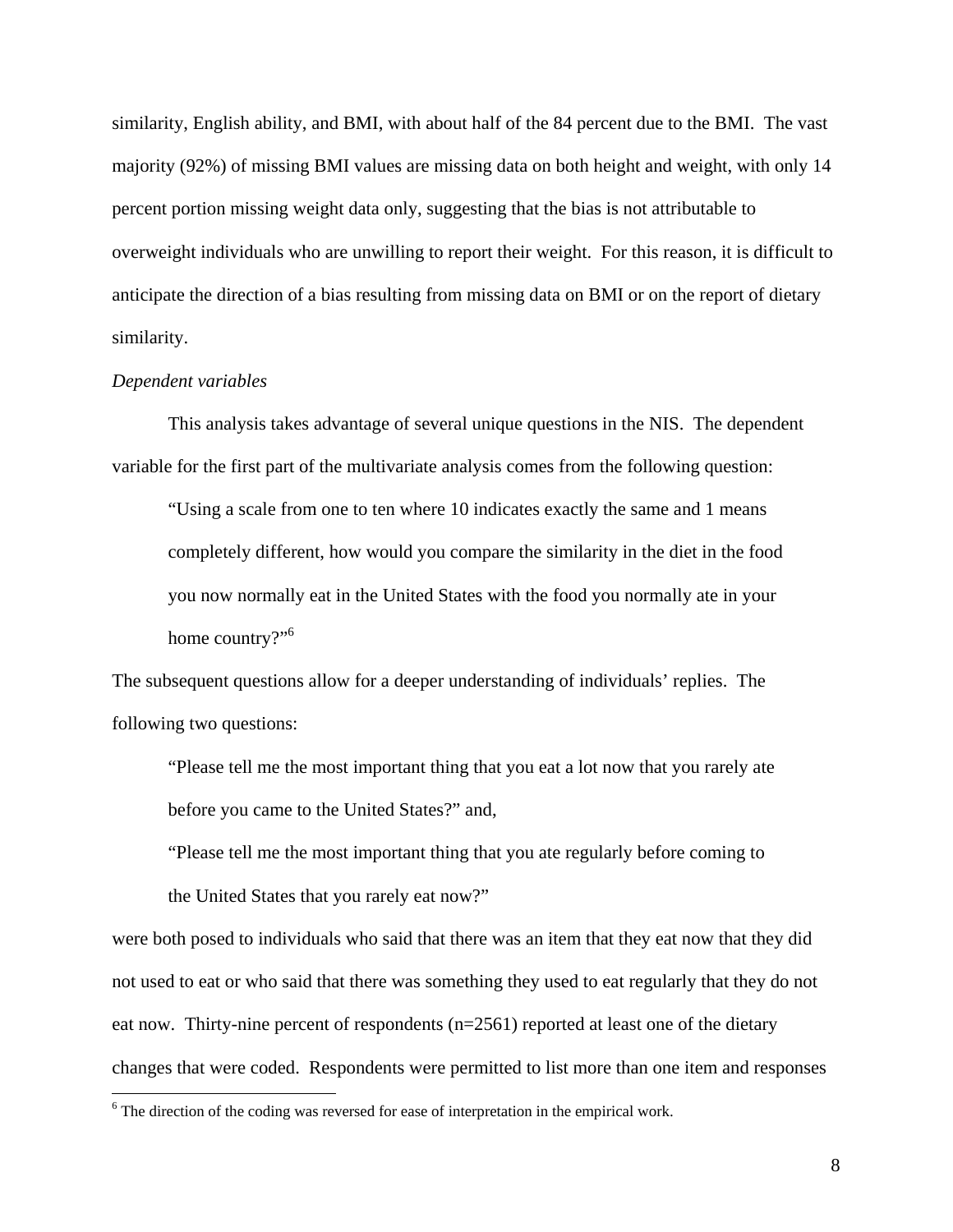similarity, English ability, and BMI, with about half of the 84 percent due to the BMI. The vast majority (92%) of missing BMI values are missing data on both height and weight, with only 14 percent portion missing weight data only, suggesting that the bias is not attributable to overweight individuals who are unwilling to report their weight. For this reason, it is difficult to anticipate the direction of a bias resulting from missing data on BMI or on the report of dietary similarity.

#### *Dependent variables*

 $\overline{a}$ 

This analysis takes advantage of several unique questions in the NIS. The dependent variable for the first part of the multivariate analysis comes from the following question:

"Using a scale from one to ten where 10 indicates exactly the same and 1 means completely different, how would you compare the similarity in the diet in the food you now normally eat in the United States with the food you normally ate in your home country?"<sup>6</sup>

The subsequent questions allow for a deeper understanding of individuals' replies. The following two questions:

"Please tell me the most important thing that you eat a lot now that you rarely ate before you came to the United States?" and,

"Please tell me the most important thing that you ate regularly before coming to the United States that you rarely eat now?"

were both posed to individuals who said that there was an item that they eat now that they did not used to eat or who said that there was something they used to eat regularly that they do not eat now. Thirty-nine percent of respondents (n=2561) reported at least one of the dietary changes that were coded. Respondents were permitted to list more than one item and responses

 $6$  The direction of the coding was reversed for ease of interpretation in the empirical work.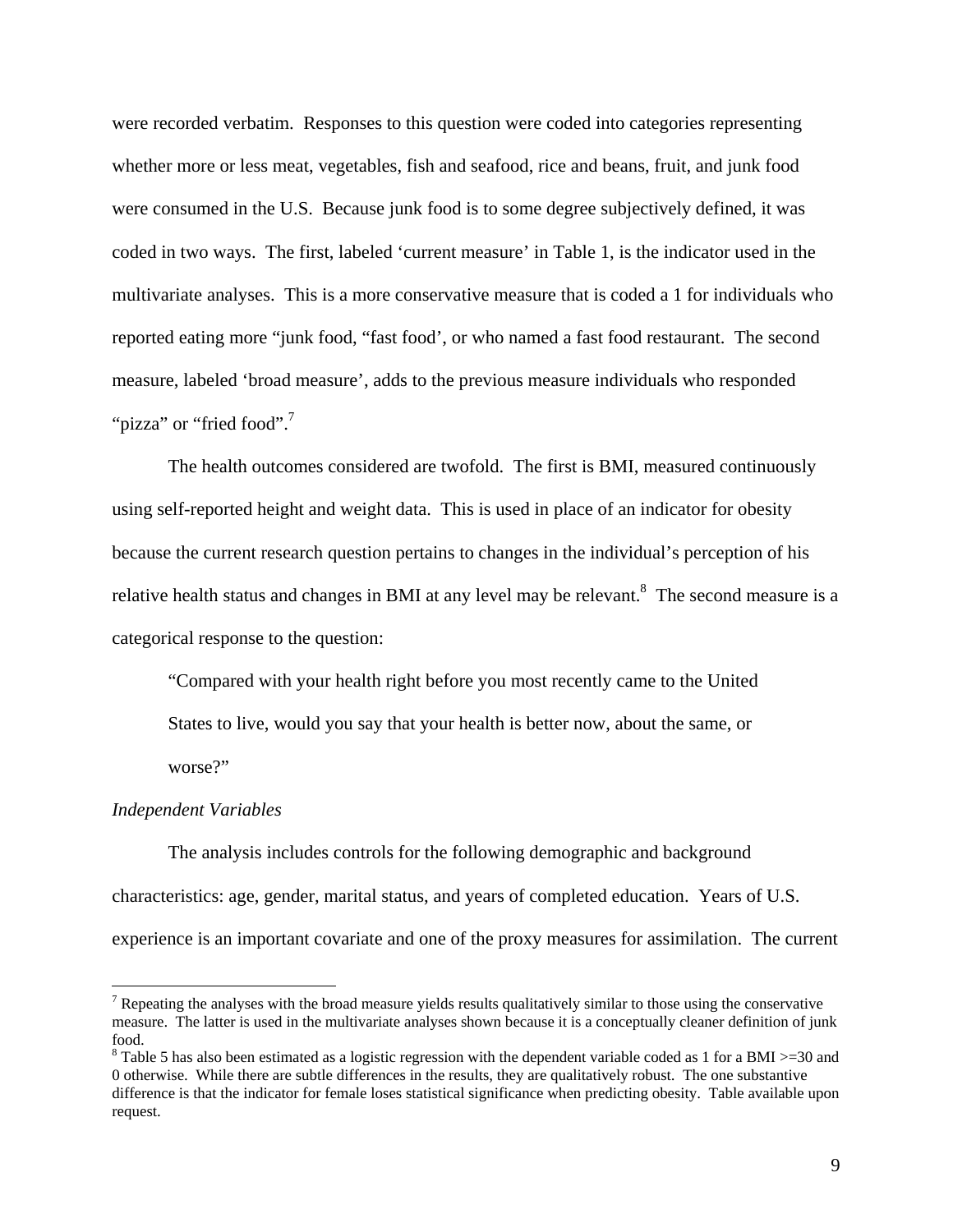were recorded verbatim. Responses to this question were coded into categories representing whether more or less meat, vegetables, fish and seafood, rice and beans, fruit, and junk food were consumed in the U.S. Because junk food is to some degree subjectively defined, it was coded in two ways. The first, labeled 'current measure' in Table 1, is the indicator used in the multivariate analyses. This is a more conservative measure that is coded a 1 for individuals who reported eating more "junk food, "fast food', or who named a fast food restaurant. The second measure, labeled 'broad measure', adds to the previous measure individuals who responded ""pizza" or "fried food".<sup>7</sup>

 The health outcomes considered are twofold. The first is BMI, measured continuously using self-reported height and weight data. This is used in place of an indicator for obesity because the current research question pertains to changes in the individual's perception of his relative health status and changes in BMI at any level may be relevant.<sup>8</sup> The second measure is a categorical response to the question:

"Compared with your health right before you most recently came to the United States to live, would you say that your health is better now, about the same, or worse?"

#### *Independent Variables*

 $\overline{a}$ 

 The analysis includes controls for the following demographic and background characteristics: age, gender, marital status, and years of completed education. Years of U.S. experience is an important covariate and one of the proxy measures for assimilation. The current

<sup>&</sup>lt;sup>7</sup> Repeating the analyses with the broad measure yields results qualitatively similar to those using the conservative measure. The latter is used in the multivariate analyses shown because it is a conceptually cleaner definition of junk food.

<sup>&</sup>lt;sup>8</sup> Table 5 has also been estimated as a logistic regression with the dependent variable coded as 1 for a BMI >=30 and 0 otherwise. While there are subtle differences in the results, they are qualitatively robust. The one substantive difference is that the indicator for female loses statistical significance when predicting obesity. Table available upon request.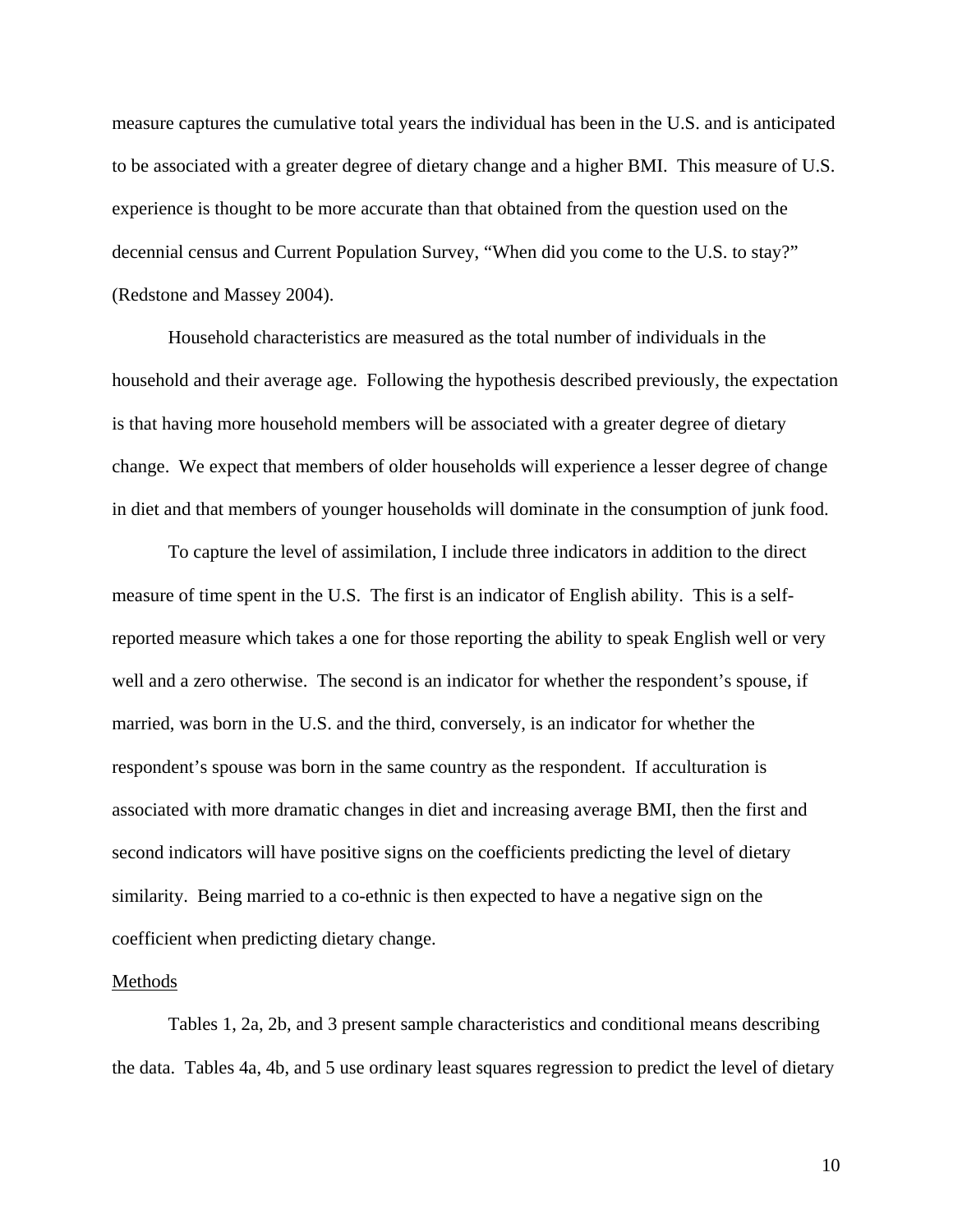measure captures the cumulative total years the individual has been in the U.S. and is anticipated to be associated with a greater degree of dietary change and a higher BMI. This measure of U.S. experience is thought to be more accurate than that obtained from the question used on the decennial census and Current Population Survey, "When did you come to the U.S. to stay?" (Redstone and Massey 2004).

 Household characteristics are measured as the total number of individuals in the household and their average age. Following the hypothesis described previously, the expectation is that having more household members will be associated with a greater degree of dietary change. We expect that members of older households will experience a lesser degree of change in diet and that members of younger households will dominate in the consumption of junk food.

To capture the level of assimilation, I include three indicators in addition to the direct measure of time spent in the U.S. The first is an indicator of English ability. This is a selfreported measure which takes a one for those reporting the ability to speak English well or very well and a zero otherwise. The second is an indicator for whether the respondent's spouse, if married, was born in the U.S. and the third, conversely, is an indicator for whether the respondent's spouse was born in the same country as the respondent. If acculturation is associated with more dramatic changes in diet and increasing average BMI, then the first and second indicators will have positive signs on the coefficients predicting the level of dietary similarity. Being married to a co-ethnic is then expected to have a negative sign on the coefficient when predicting dietary change.

#### Methods

 Tables 1, 2a, 2b, and 3 present sample characteristics and conditional means describing the data. Tables 4a, 4b, and 5 use ordinary least squares regression to predict the level of dietary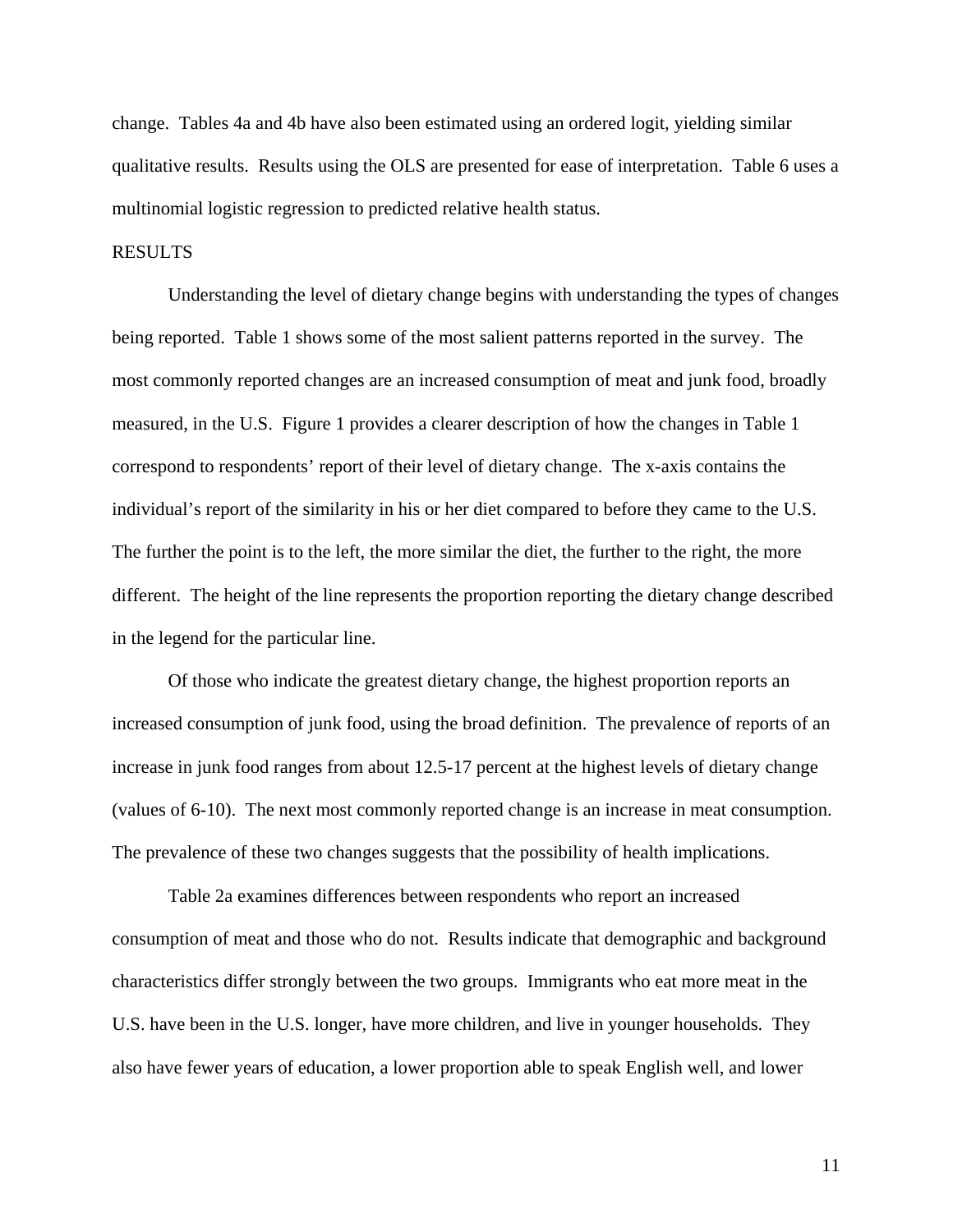change. Tables 4a and 4b have also been estimated using an ordered logit, yielding similar qualitative results. Results using the OLS are presented for ease of interpretation. Table 6 uses a multinomial logistic regression to predicted relative health status.

# RESULTS

 Understanding the level of dietary change begins with understanding the types of changes being reported. Table 1 shows some of the most salient patterns reported in the survey. The most commonly reported changes are an increased consumption of meat and junk food, broadly measured, in the U.S. Figure 1 provides a clearer description of how the changes in Table 1 correspond to respondents' report of their level of dietary change. The x-axis contains the individual's report of the similarity in his or her diet compared to before they came to the U.S. The further the point is to the left, the more similar the diet, the further to the right, the more different. The height of the line represents the proportion reporting the dietary change described in the legend for the particular line.

 Of those who indicate the greatest dietary change, the highest proportion reports an increased consumption of junk food, using the broad definition. The prevalence of reports of an increase in junk food ranges from about 12.5-17 percent at the highest levels of dietary change (values of 6-10). The next most commonly reported change is an increase in meat consumption. The prevalence of these two changes suggests that the possibility of health implications.

 Table 2a examines differences between respondents who report an increased consumption of meat and those who do not. Results indicate that demographic and background characteristics differ strongly between the two groups. Immigrants who eat more meat in the U.S. have been in the U.S. longer, have more children, and live in younger households. They also have fewer years of education, a lower proportion able to speak English well, and lower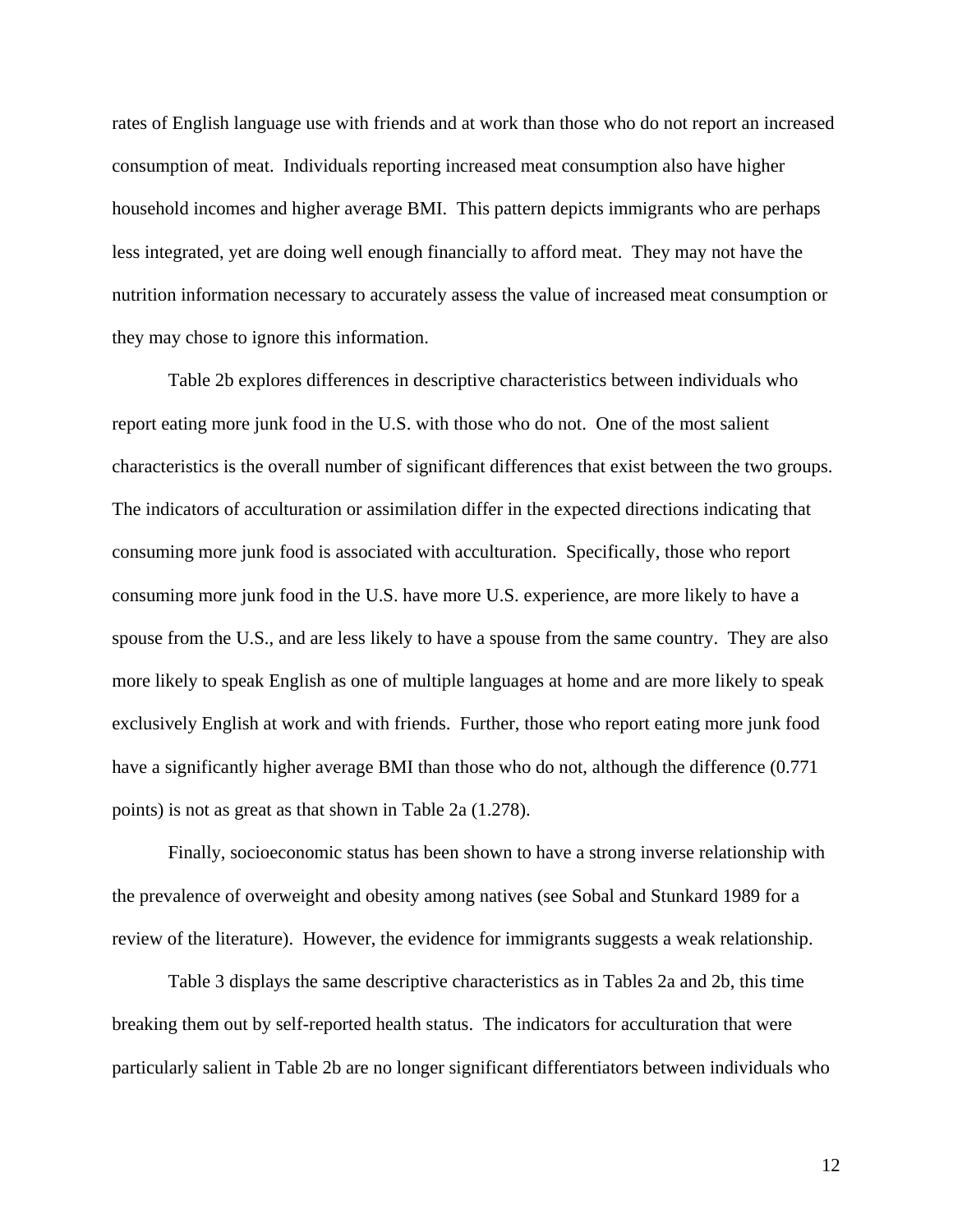rates of English language use with friends and at work than those who do not report an increased consumption of meat. Individuals reporting increased meat consumption also have higher household incomes and higher average BMI. This pattern depicts immigrants who are perhaps less integrated, yet are doing well enough financially to afford meat. They may not have the nutrition information necessary to accurately assess the value of increased meat consumption or they may chose to ignore this information.

 Table 2b explores differences in descriptive characteristics between individuals who report eating more junk food in the U.S. with those who do not. One of the most salient characteristics is the overall number of significant differences that exist between the two groups. The indicators of acculturation or assimilation differ in the expected directions indicating that consuming more junk food is associated with acculturation. Specifically, those who report consuming more junk food in the U.S. have more U.S. experience, are more likely to have a spouse from the U.S., and are less likely to have a spouse from the same country. They are also more likely to speak English as one of multiple languages at home and are more likely to speak exclusively English at work and with friends. Further, those who report eating more junk food have a significantly higher average BMI than those who do not, although the difference (0.771 points) is not as great as that shown in Table 2a (1.278).

 Finally, socioeconomic status has been shown to have a strong inverse relationship with the prevalence of overweight and obesity among natives (see Sobal and Stunkard 1989 for a review of the literature). However, the evidence for immigrants suggests a weak relationship.

 Table 3 displays the same descriptive characteristics as in Tables 2a and 2b, this time breaking them out by self-reported health status. The indicators for acculturation that were particularly salient in Table 2b are no longer significant differentiators between individuals who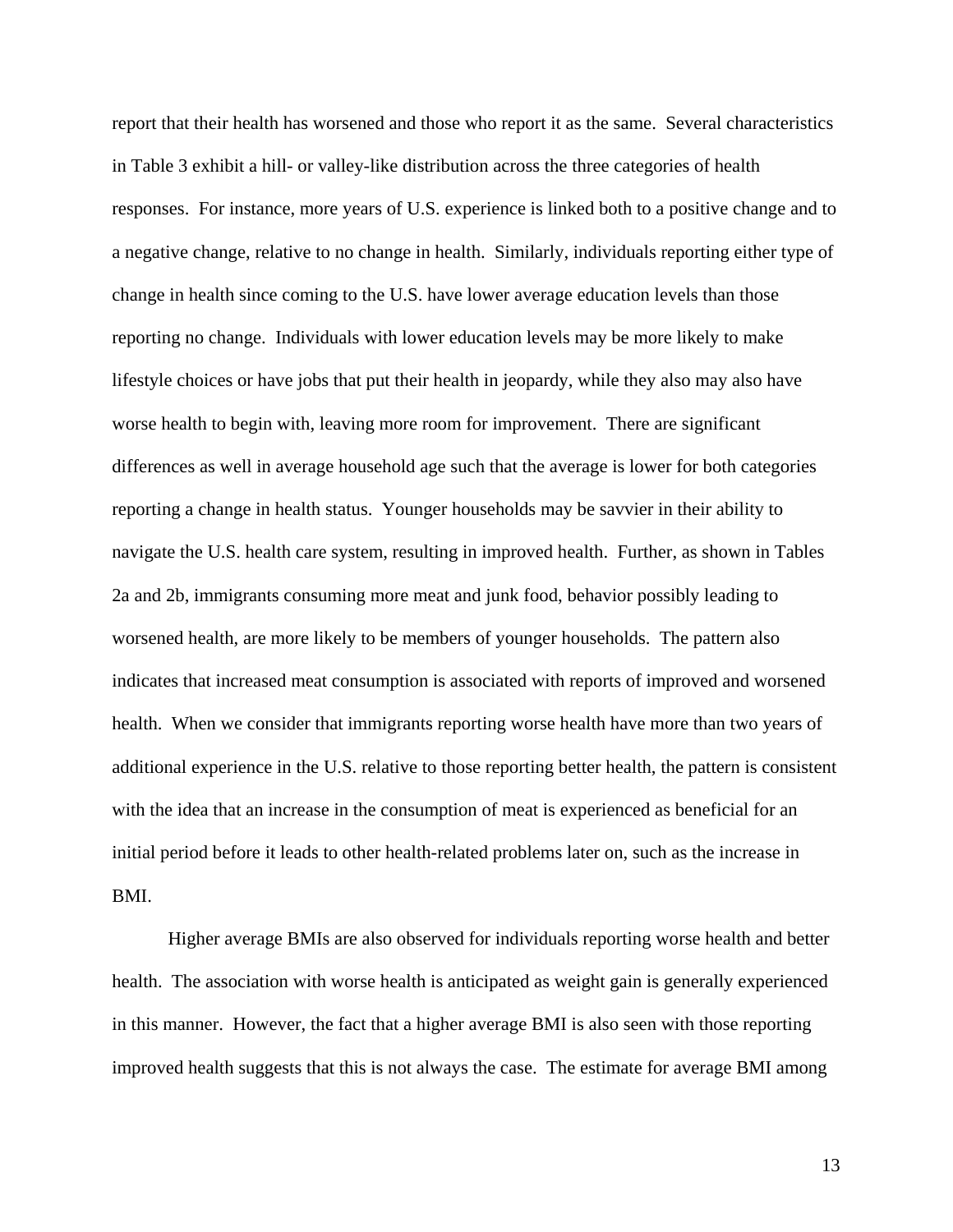report that their health has worsened and those who report it as the same. Several characteristics in Table 3 exhibit a hill- or valley-like distribution across the three categories of health responses. For instance, more years of U.S. experience is linked both to a positive change and to a negative change, relative to no change in health. Similarly, individuals reporting either type of change in health since coming to the U.S. have lower average education levels than those reporting no change. Individuals with lower education levels may be more likely to make lifestyle choices or have jobs that put their health in jeopardy, while they also may also have worse health to begin with, leaving more room for improvement. There are significant differences as well in average household age such that the average is lower for both categories reporting a change in health status. Younger households may be savvier in their ability to navigate the U.S. health care system, resulting in improved health. Further, as shown in Tables 2a and 2b, immigrants consuming more meat and junk food, behavior possibly leading to worsened health, are more likely to be members of younger households. The pattern also indicates that increased meat consumption is associated with reports of improved and worsened health. When we consider that immigrants reporting worse health have more than two years of additional experience in the U.S. relative to those reporting better health, the pattern is consistent with the idea that an increase in the consumption of meat is experienced as beneficial for an initial period before it leads to other health-related problems later on, such as the increase in BMI.

 Higher average BMIs are also observed for individuals reporting worse health and better health. The association with worse health is anticipated as weight gain is generally experienced in this manner. However, the fact that a higher average BMI is also seen with those reporting improved health suggests that this is not always the case. The estimate for average BMI among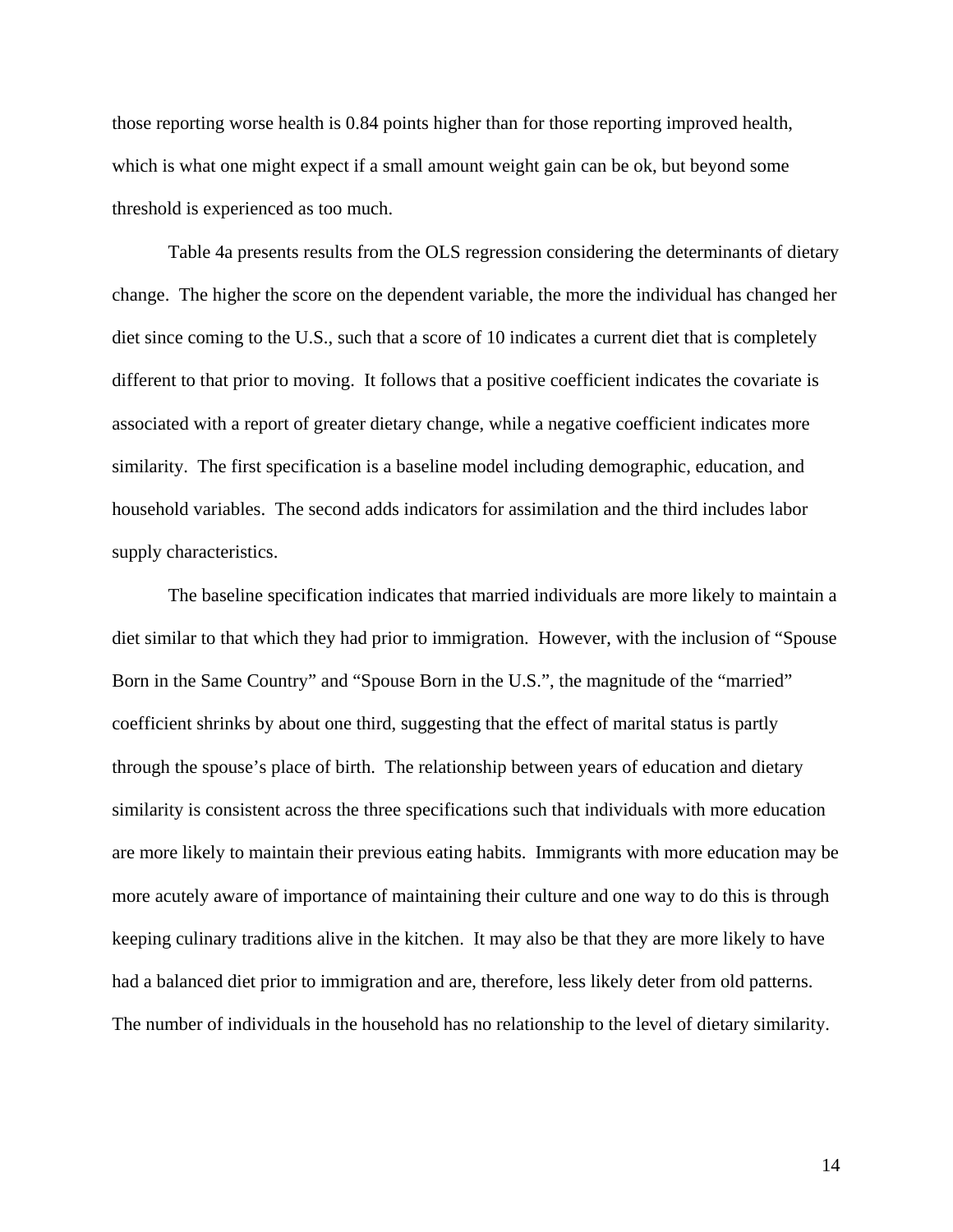those reporting worse health is 0.84 points higher than for those reporting improved health, which is what one might expect if a small amount weight gain can be ok, but beyond some threshold is experienced as too much.

 Table 4a presents results from the OLS regression considering the determinants of dietary change. The higher the score on the dependent variable, the more the individual has changed her diet since coming to the U.S., such that a score of 10 indicates a current diet that is completely different to that prior to moving. It follows that a positive coefficient indicates the covariate is associated with a report of greater dietary change, while a negative coefficient indicates more similarity. The first specification is a baseline model including demographic, education, and household variables. The second adds indicators for assimilation and the third includes labor supply characteristics.

 The baseline specification indicates that married individuals are more likely to maintain a diet similar to that which they had prior to immigration. However, with the inclusion of "Spouse Born in the Same Country" and "Spouse Born in the U.S.", the magnitude of the "married" coefficient shrinks by about one third, suggesting that the effect of marital status is partly through the spouse's place of birth. The relationship between years of education and dietary similarity is consistent across the three specifications such that individuals with more education are more likely to maintain their previous eating habits. Immigrants with more education may be more acutely aware of importance of maintaining their culture and one way to do this is through keeping culinary traditions alive in the kitchen. It may also be that they are more likely to have had a balanced diet prior to immigration and are, therefore, less likely deter from old patterns. The number of individuals in the household has no relationship to the level of dietary similarity.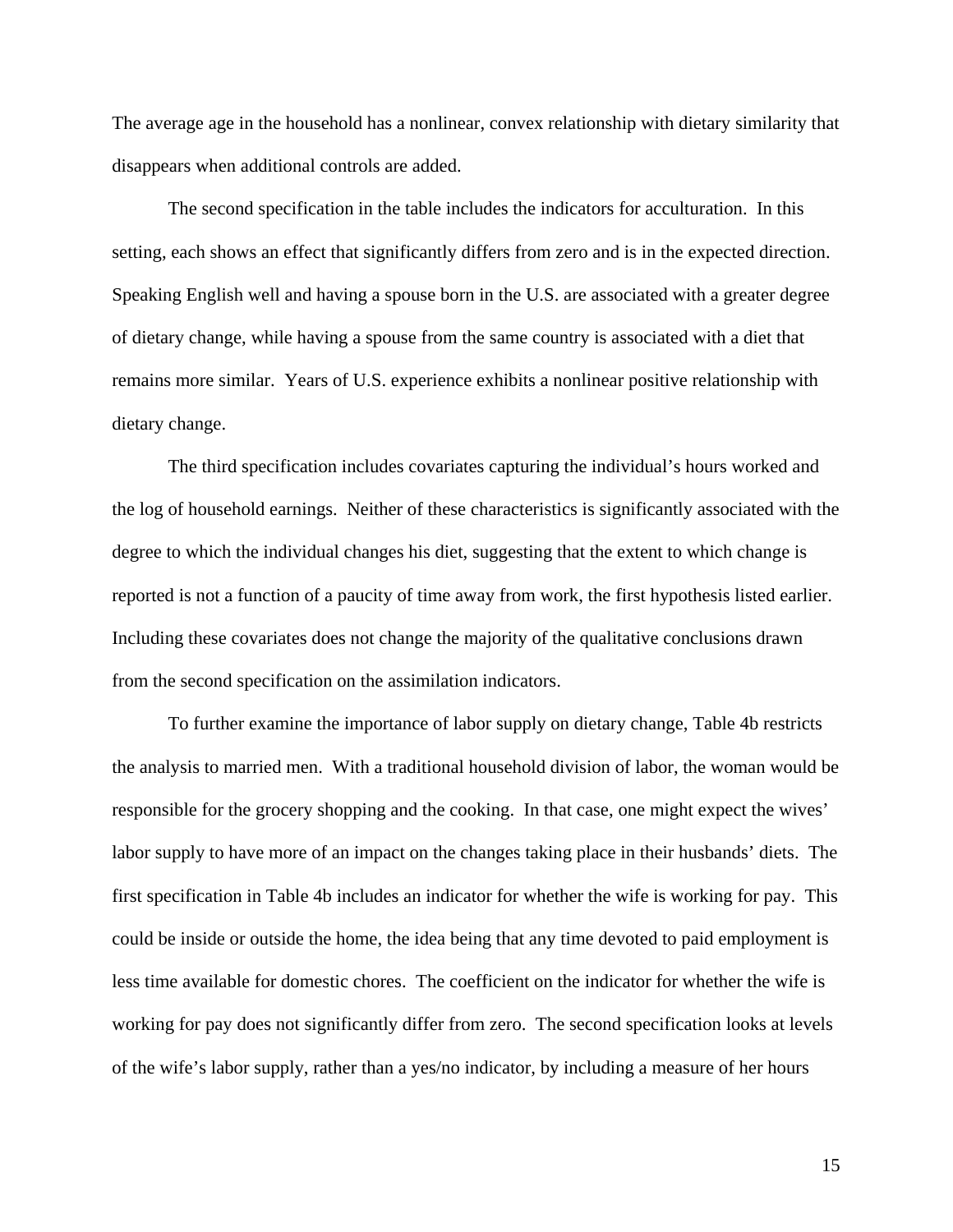The average age in the household has a nonlinear, convex relationship with dietary similarity that disappears when additional controls are added.

 The second specification in the table includes the indicators for acculturation. In this setting, each shows an effect that significantly differs from zero and is in the expected direction. Speaking English well and having a spouse born in the U.S. are associated with a greater degree of dietary change, while having a spouse from the same country is associated with a diet that remains more similar. Years of U.S. experience exhibits a nonlinear positive relationship with dietary change.

The third specification includes covariates capturing the individual's hours worked and the log of household earnings. Neither of these characteristics is significantly associated with the degree to which the individual changes his diet, suggesting that the extent to which change is reported is not a function of a paucity of time away from work, the first hypothesis listed earlier. Including these covariates does not change the majority of the qualitative conclusions drawn from the second specification on the assimilation indicators.

To further examine the importance of labor supply on dietary change, Table 4b restricts the analysis to married men. With a traditional household division of labor, the woman would be responsible for the grocery shopping and the cooking. In that case, one might expect the wives' labor supply to have more of an impact on the changes taking place in their husbands' diets. The first specification in Table 4b includes an indicator for whether the wife is working for pay. This could be inside or outside the home, the idea being that any time devoted to paid employment is less time available for domestic chores. The coefficient on the indicator for whether the wife is working for pay does not significantly differ from zero. The second specification looks at levels of the wife's labor supply, rather than a yes/no indicator, by including a measure of her hours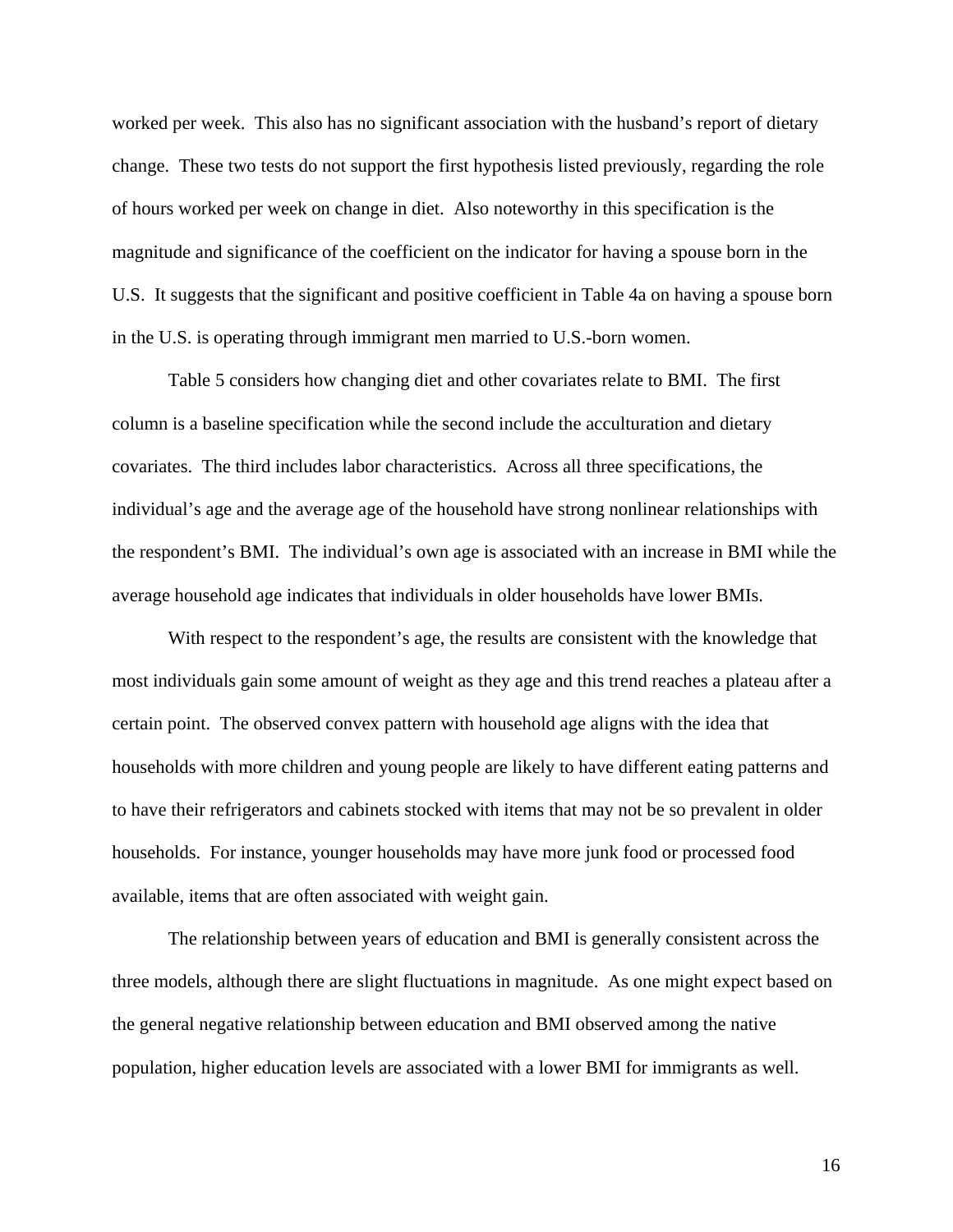worked per week. This also has no significant association with the husband's report of dietary change. These two tests do not support the first hypothesis listed previously, regarding the role of hours worked per week on change in diet. Also noteworthy in this specification is the magnitude and significance of the coefficient on the indicator for having a spouse born in the U.S. It suggests that the significant and positive coefficient in Table 4a on having a spouse born in the U.S. is operating through immigrant men married to U.S.-born women.

Table 5 considers how changing diet and other covariates relate to BMI. The first column is a baseline specification while the second include the acculturation and dietary covariates. The third includes labor characteristics. Across all three specifications, the individual's age and the average age of the household have strong nonlinear relationships with the respondent's BMI. The individual's own age is associated with an increase in BMI while the average household age indicates that individuals in older households have lower BMIs.

With respect to the respondent's age, the results are consistent with the knowledge that most individuals gain some amount of weight as they age and this trend reaches a plateau after a certain point. The observed convex pattern with household age aligns with the idea that households with more children and young people are likely to have different eating patterns and to have their refrigerators and cabinets stocked with items that may not be so prevalent in older households. For instance, younger households may have more junk food or processed food available, items that are often associated with weight gain.

The relationship between years of education and BMI is generally consistent across the three models, although there are slight fluctuations in magnitude. As one might expect based on the general negative relationship between education and BMI observed among the native population, higher education levels are associated with a lower BMI for immigrants as well.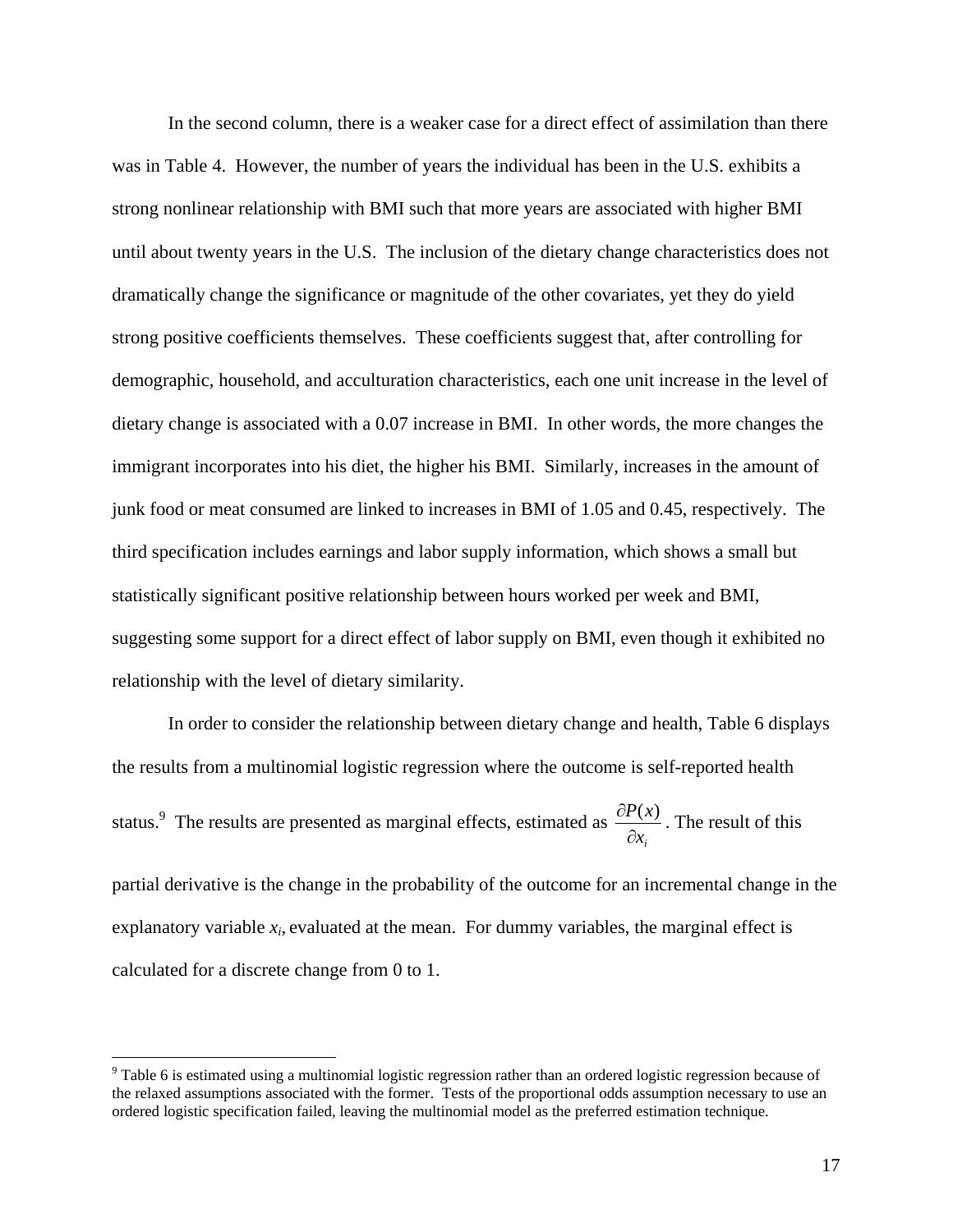In the second column, there is a weaker case for a direct effect of assimilation than there was in Table 4. However, the number of years the individual has been in the U.S. exhibits a strong nonlinear relationship with BMI such that more years are associated with higher BMI until about twenty years in the U.S. The inclusion of the dietary change characteristics does not dramatically change the significance or magnitude of the other covariates, yet they do yield strong positive coefficients themselves. These coefficients suggest that, after controlling for demographic, household, and acculturation characteristics, each one unit increase in the level of dietary change is associated with a 0.07 increase in BMI. In other words, the more changes the immigrant incorporates into his diet, the higher his BMI. Similarly, increases in the amount of junk food or meat consumed are linked to increases in BMI of 1.05 and 0.45, respectively. The third specification includes earnings and labor supply information, which shows a small but statistically significant positive relationship between hours worked per week and BMI, suggesting some support for a direct effect of labor supply on BMI, even though it exhibited no relationship with the level of dietary similarity.

In order to consider the relationship between dietary change and health, Table 6 displays the results from a multinomial logistic regression where the outcome is self-reported health status.<sup>9</sup> The results are presented as marginal effects, estimated as  $x_i$ *P x* ∂  $\frac{\partial P(x)}{\partial}$ . The result of this partial derivative is the change in the probability of the outcome for an incremental change in the

explanatory variable  $x_i$ , evaluated at the mean. For dummy variables, the marginal effect is calculated for a discrete change from 0 to 1.

 $9$  Table 6 is estimated using a multinomial logistic regression rather than an ordered logistic regression because of the relaxed assumptions associated with the former. Tests of the proportional odds assumption necessary to use an ordered logistic specification failed, leaving the multinomial model as the preferred estimation technique.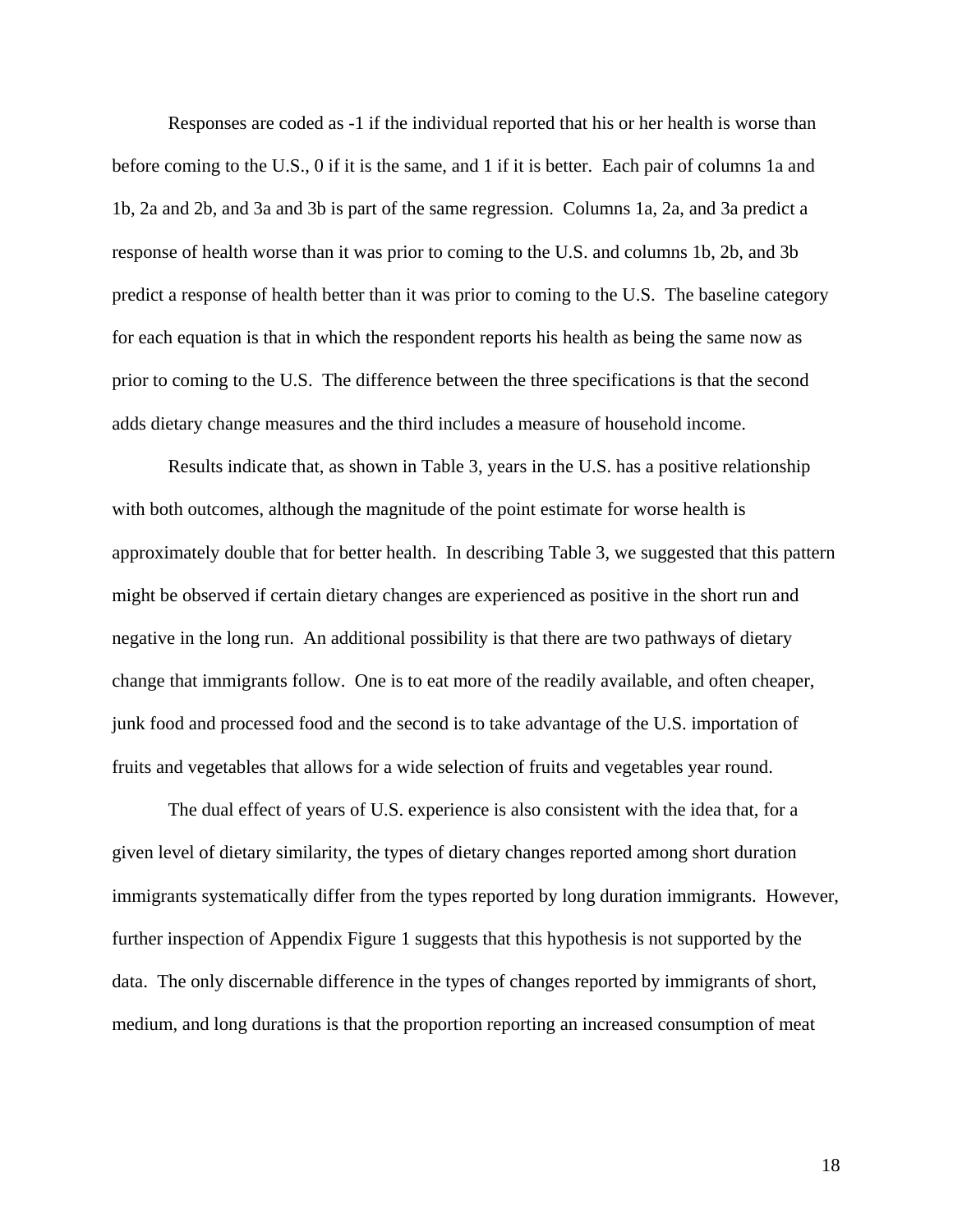Responses are coded as -1 if the individual reported that his or her health is worse than before coming to the U.S., 0 if it is the same, and 1 if it is better. Each pair of columns 1a and 1b, 2a and 2b, and 3a and 3b is part of the same regression. Columns 1a, 2a, and 3a predict a response of health worse than it was prior to coming to the U.S. and columns 1b, 2b, and 3b predict a response of health better than it was prior to coming to the U.S. The baseline category for each equation is that in which the respondent reports his health as being the same now as prior to coming to the U.S. The difference between the three specifications is that the second adds dietary change measures and the third includes a measure of household income.

Results indicate that, as shown in Table 3, years in the U.S. has a positive relationship with both outcomes, although the magnitude of the point estimate for worse health is approximately double that for better health. In describing Table 3, we suggested that this pattern might be observed if certain dietary changes are experienced as positive in the short run and negative in the long run. An additional possibility is that there are two pathways of dietary change that immigrants follow. One is to eat more of the readily available, and often cheaper, junk food and processed food and the second is to take advantage of the U.S. importation of fruits and vegetables that allows for a wide selection of fruits and vegetables year round.

The dual effect of years of U.S. experience is also consistent with the idea that, for a given level of dietary similarity, the types of dietary changes reported among short duration immigrants systematically differ from the types reported by long duration immigrants. However, further inspection of Appendix Figure 1 suggests that this hypothesis is not supported by the data. The only discernable difference in the types of changes reported by immigrants of short, medium, and long durations is that the proportion reporting an increased consumption of meat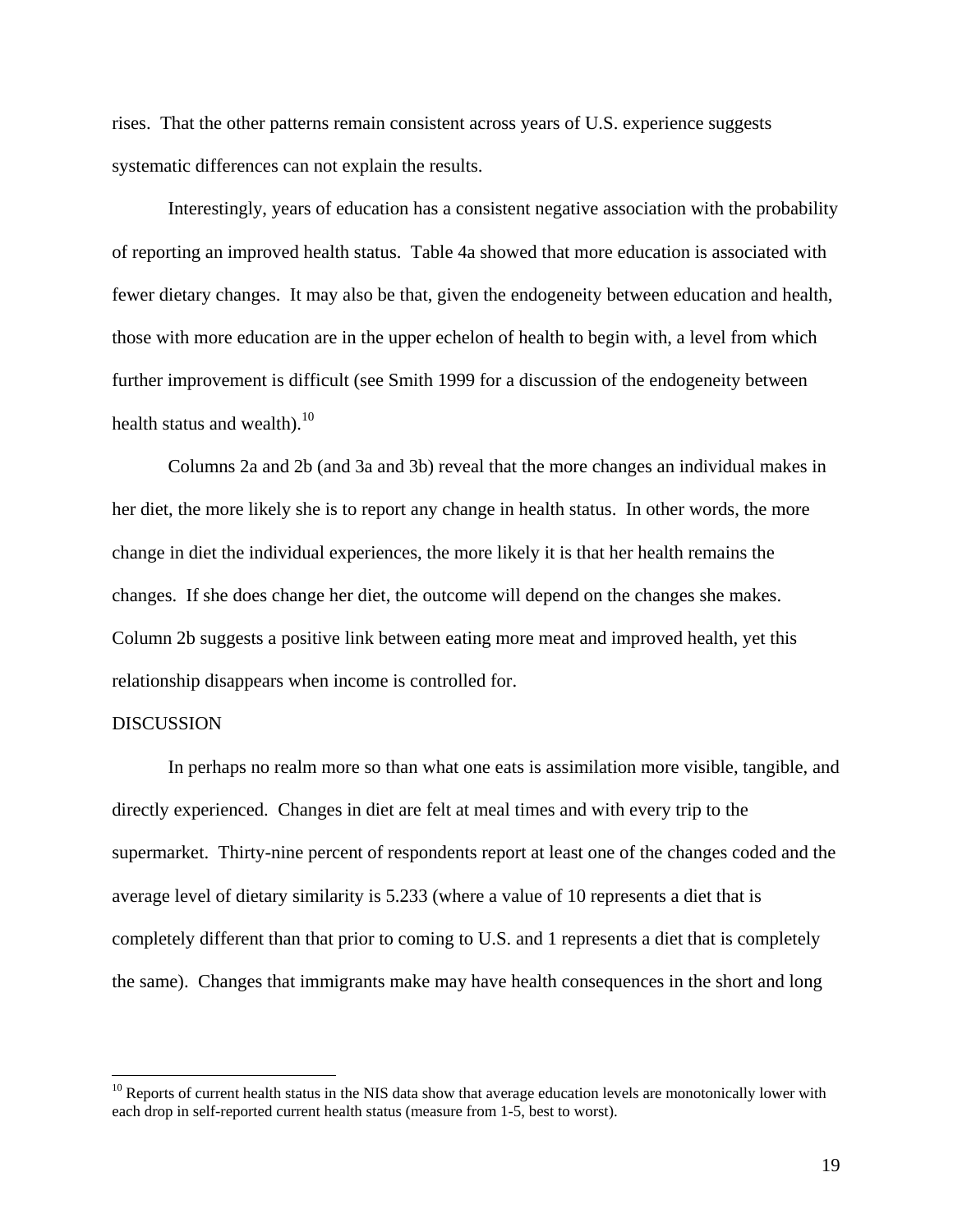rises. That the other patterns remain consistent across years of U.S. experience suggests systematic differences can not explain the results.

Interestingly, years of education has a consistent negative association with the probability of reporting an improved health status. Table 4a showed that more education is associated with fewer dietary changes. It may also be that, given the endogeneity between education and health, those with more education are in the upper echelon of health to begin with, a level from which further improvement is difficult (see Smith 1999 for a discussion of the endogeneity between health status and wealth). $10<sup>10</sup>$ 

Columns 2a and 2b (and 3a and 3b) reveal that the more changes an individual makes in her diet, the more likely she is to report any change in health status. In other words, the more change in diet the individual experiences, the more likely it is that her health remains the changes. If she does change her diet, the outcome will depend on the changes she makes. Column 2b suggests a positive link between eating more meat and improved health, yet this relationship disappears when income is controlled for.

# **DISCUSSION**

1

In perhaps no realm more so than what one eats is assimilation more visible, tangible, and directly experienced. Changes in diet are felt at meal times and with every trip to the supermarket. Thirty-nine percent of respondents report at least one of the changes coded and the average level of dietary similarity is 5.233 (where a value of 10 represents a diet that is completely different than that prior to coming to U.S. and 1 represents a diet that is completely the same). Changes that immigrants make may have health consequences in the short and long

<sup>&</sup>lt;sup>10</sup> Reports of current health status in the NIS data show that average education levels are monotonically lower with each drop in self-reported current health status (measure from 1-5, best to worst).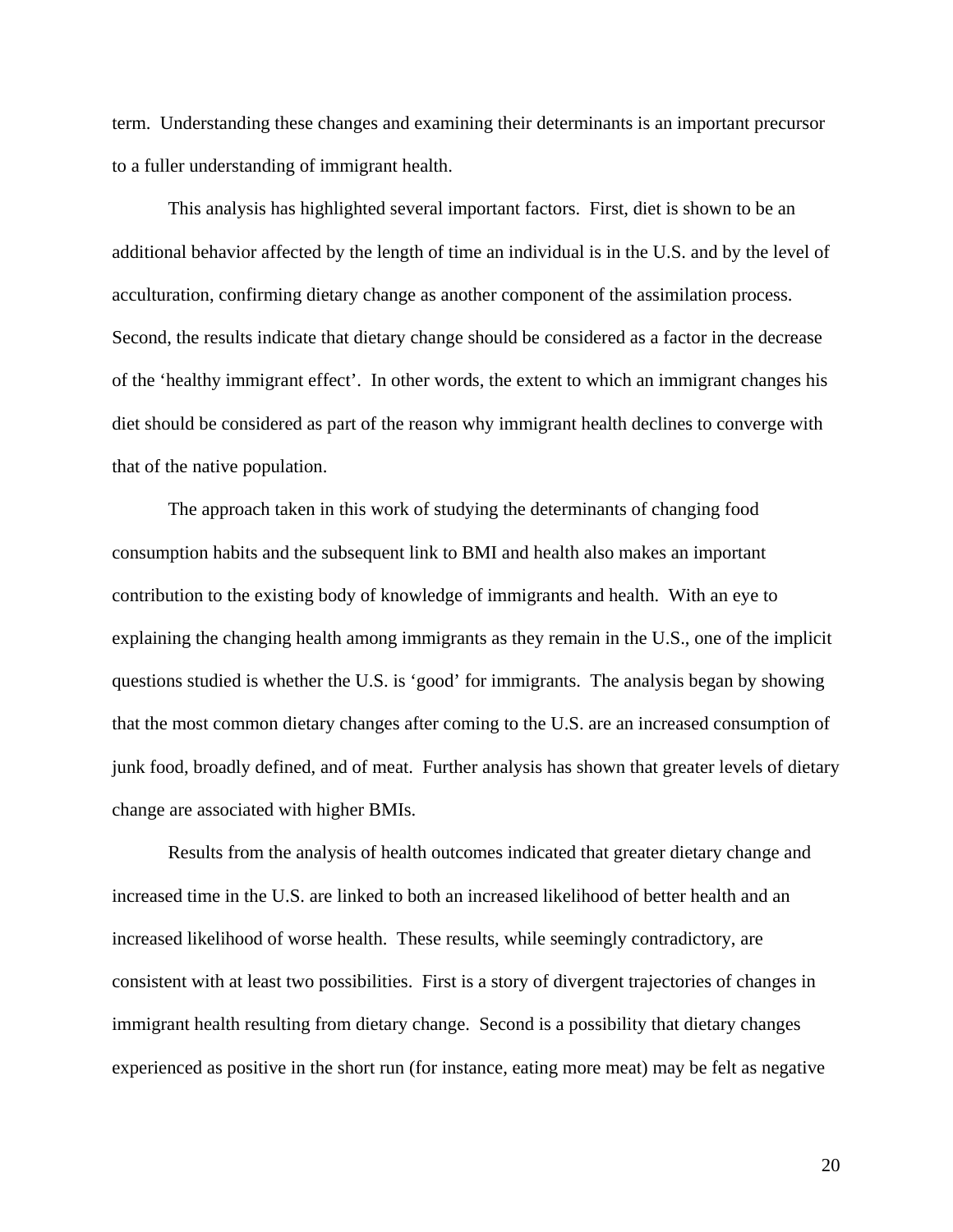term. Understanding these changes and examining their determinants is an important precursor to a fuller understanding of immigrant health.

This analysis has highlighted several important factors. First, diet is shown to be an additional behavior affected by the length of time an individual is in the U.S. and by the level of acculturation, confirming dietary change as another component of the assimilation process. Second, the results indicate that dietary change should be considered as a factor in the decrease of the 'healthy immigrant effect'. In other words, the extent to which an immigrant changes his diet should be considered as part of the reason why immigrant health declines to converge with that of the native population.

The approach taken in this work of studying the determinants of changing food consumption habits and the subsequent link to BMI and health also makes an important contribution to the existing body of knowledge of immigrants and health. With an eye to explaining the changing health among immigrants as they remain in the U.S., one of the implicit questions studied is whether the U.S. is 'good' for immigrants. The analysis began by showing that the most common dietary changes after coming to the U.S. are an increased consumption of junk food, broadly defined, and of meat. Further analysis has shown that greater levels of dietary change are associated with higher BMIs.

Results from the analysis of health outcomes indicated that greater dietary change and increased time in the U.S. are linked to both an increased likelihood of better health and an increased likelihood of worse health. These results, while seemingly contradictory, are consistent with at least two possibilities. First is a story of divergent trajectories of changes in immigrant health resulting from dietary change. Second is a possibility that dietary changes experienced as positive in the short run (for instance, eating more meat) may be felt as negative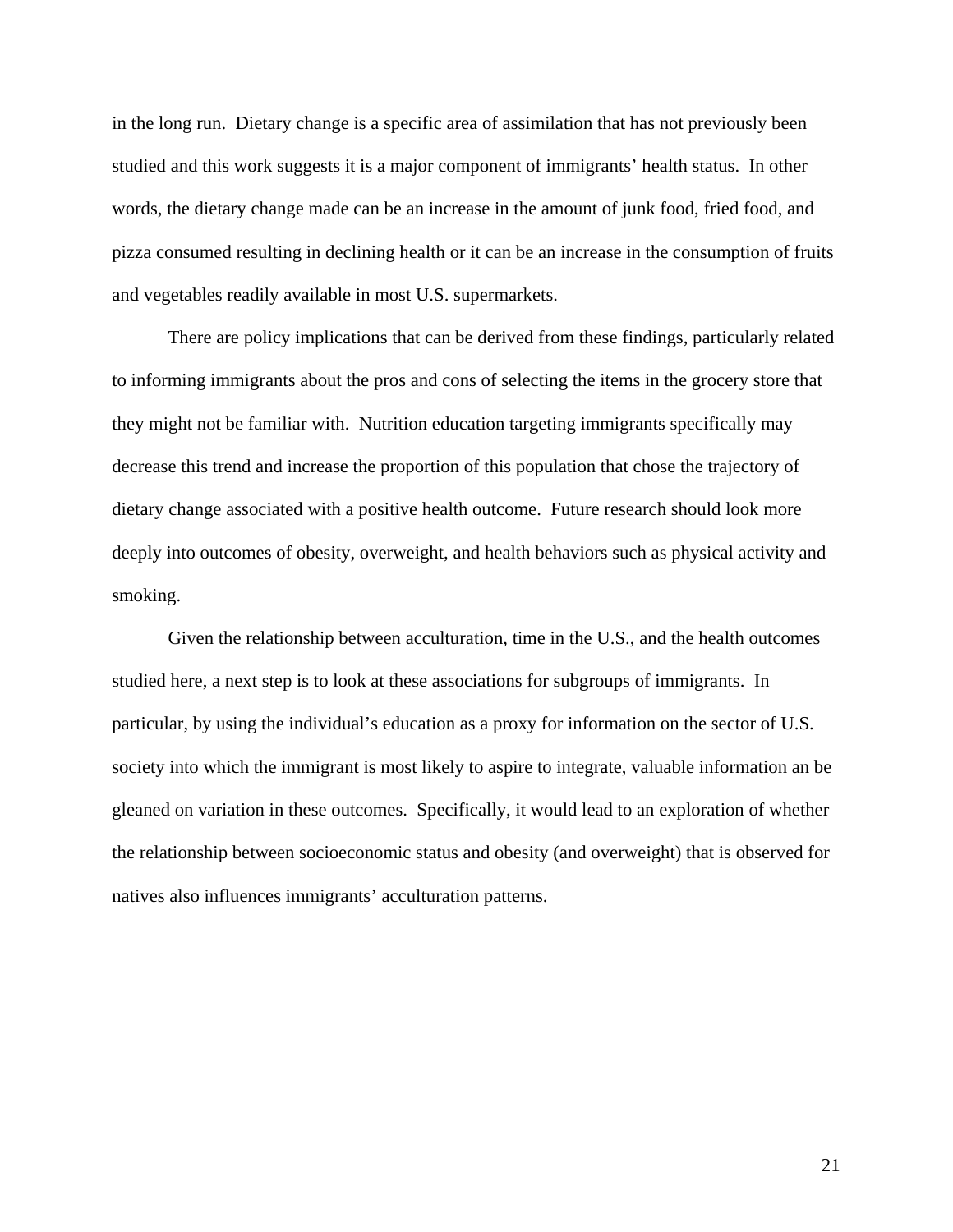in the long run. Dietary change is a specific area of assimilation that has not previously been studied and this work suggests it is a major component of immigrants' health status. In other words, the dietary change made can be an increase in the amount of junk food, fried food, and pizza consumed resulting in declining health or it can be an increase in the consumption of fruits and vegetables readily available in most U.S. supermarkets.

There are policy implications that can be derived from these findings, particularly related to informing immigrants about the pros and cons of selecting the items in the grocery store that they might not be familiar with. Nutrition education targeting immigrants specifically may decrease this trend and increase the proportion of this population that chose the trajectory of dietary change associated with a positive health outcome. Future research should look more deeply into outcomes of obesity, overweight, and health behaviors such as physical activity and smoking.

Given the relationship between acculturation, time in the U.S., and the health outcomes studied here, a next step is to look at these associations for subgroups of immigrants. In particular, by using the individual's education as a proxy for information on the sector of U.S. society into which the immigrant is most likely to aspire to integrate, valuable information an be gleaned on variation in these outcomes. Specifically, it would lead to an exploration of whether the relationship between socioeconomic status and obesity (and overweight) that is observed for natives also influences immigrants' acculturation patterns.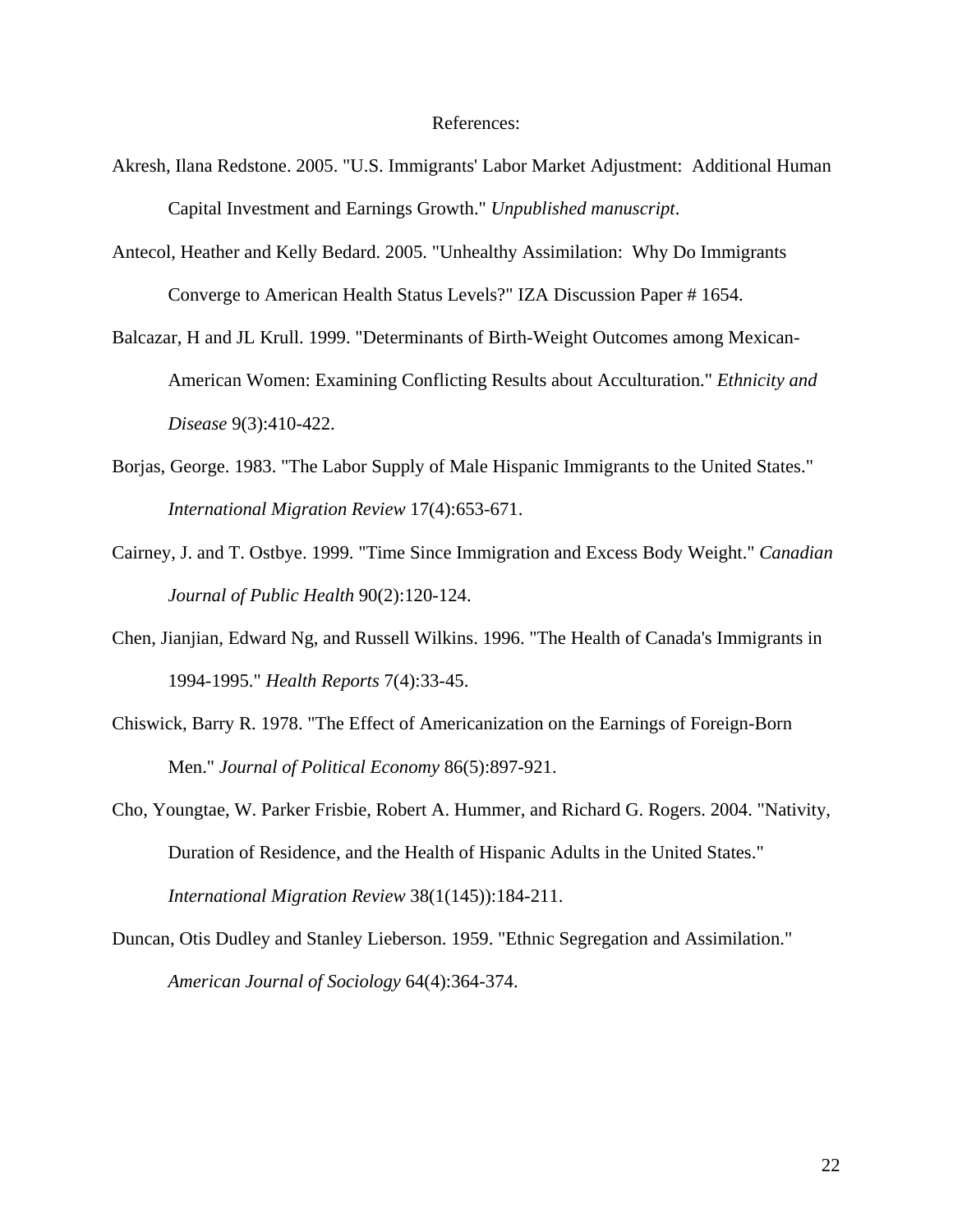### References:

- Akresh, Ilana Redstone. 2005. "U.S. Immigrants' Labor Market Adjustment: Additional Human Capital Investment and Earnings Growth." *Unpublished manuscript*.
- Antecol, Heather and Kelly Bedard. 2005. "Unhealthy Assimilation: Why Do Immigrants Converge to American Health Status Levels?" IZA Discussion Paper # 1654.
- Balcazar, H and JL Krull. 1999. "Determinants of Birth-Weight Outcomes among Mexican-American Women: Examining Conflicting Results about Acculturation." *Ethnicity and Disease* 9(3):410-422.
- Borjas, George. 1983. "The Labor Supply of Male Hispanic Immigrants to the United States." *International Migration Review* 17(4):653-671.
- Cairney, J. and T. Ostbye. 1999. "Time Since Immigration and Excess Body Weight." *Canadian Journal of Public Health* 90(2):120-124.
- Chen, Jianjian, Edward Ng, and Russell Wilkins. 1996. "The Health of Canada's Immigrants in 1994-1995." *Health Reports* 7(4):33-45.
- Chiswick, Barry R. 1978. "The Effect of Americanization on the Earnings of Foreign-Born Men." *Journal of Political Economy* 86(5):897-921.
- Cho, Youngtae, W. Parker Frisbie, Robert A. Hummer, and Richard G. Rogers. 2004. "Nativity, Duration of Residence, and the Health of Hispanic Adults in the United States." *International Migration Review* 38(1(145)):184-211.
- Duncan, Otis Dudley and Stanley Lieberson. 1959. "Ethnic Segregation and Assimilation." *American Journal of Sociology* 64(4):364-374.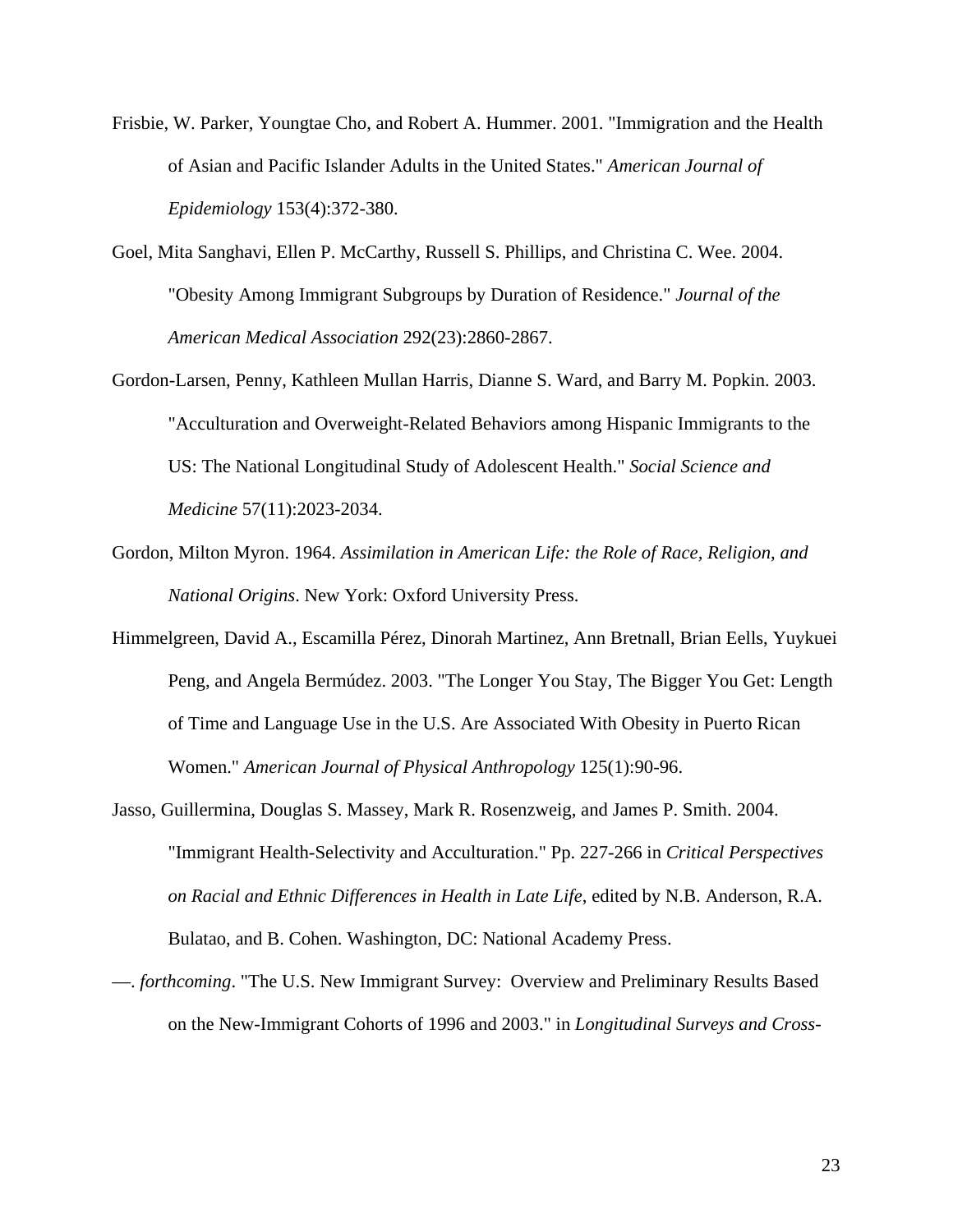- Frisbie, W. Parker, Youngtae Cho, and Robert A. Hummer. 2001. "Immigration and the Health of Asian and Pacific Islander Adults in the United States." *American Journal of Epidemiology* 153(4):372-380.
- Goel, Mita Sanghavi, Ellen P. McCarthy, Russell S. Phillips, and Christina C. Wee. 2004. "Obesity Among Immigrant Subgroups by Duration of Residence." *Journal of the American Medical Association* 292(23):2860-2867.
- Gordon-Larsen, Penny, Kathleen Mullan Harris, Dianne S. Ward, and Barry M. Popkin. 2003. "Acculturation and Overweight-Related Behaviors among Hispanic Immigrants to the US: The National Longitudinal Study of Adolescent Health." *Social Science and Medicine* 57(11):2023-2034.
- Gordon, Milton Myron. 1964. *Assimilation in American Life: the Role of Race, Religion, and National Origins*. New York: Oxford University Press.
- Himmelgreen, David A., Escamilla Pérez, Dinorah Martinez, Ann Bretnall, Brian Eells, Yuykuei Peng, and Angela Bermúdez. 2003. "The Longer You Stay, The Bigger You Get: Length of Time and Language Use in the U.S. Are Associated With Obesity in Puerto Rican Women." *American Journal of Physical Anthropology* 125(1):90-96.
- Jasso, Guillermina, Douglas S. Massey, Mark R. Rosenzweig, and James P. Smith. 2004. "Immigrant Health-Selectivity and Acculturation." Pp. 227-266 in *Critical Perspectives on Racial and Ethnic Differences in Health in Late Life*, edited by N.B. Anderson, R.A. Bulatao, and B. Cohen. Washington, DC: National Academy Press.
- —. *forthcoming*. "The U.S. New Immigrant Survey: Overview and Preliminary Results Based on the New-Immigrant Cohorts of 1996 and 2003." in *Longitudinal Surveys and Cross-*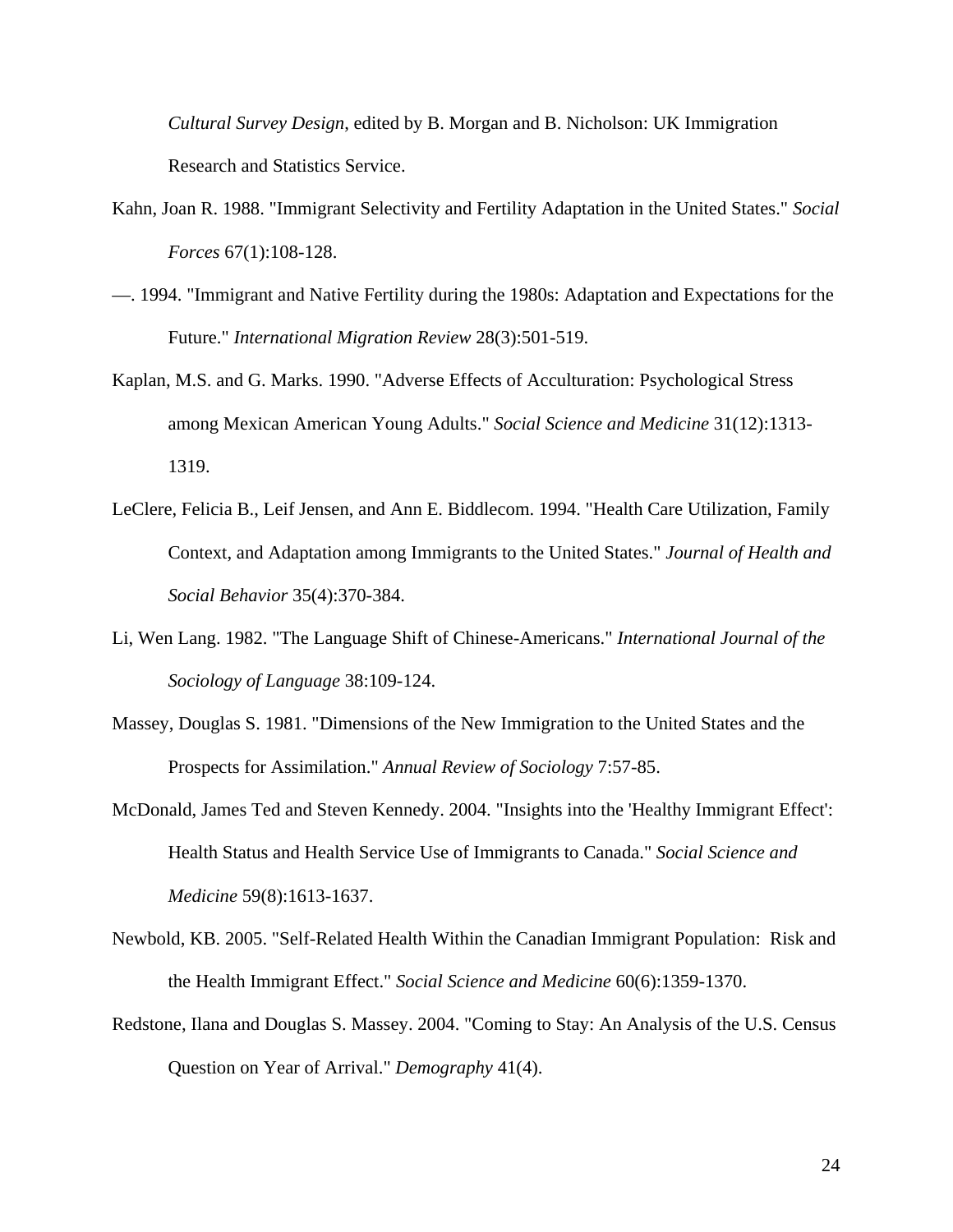*Cultural Survey Design*, edited by B. Morgan and B. Nicholson: UK Immigration Research and Statistics Service.

- Kahn, Joan R. 1988. "Immigrant Selectivity and Fertility Adaptation in the United States." *Social Forces* 67(1):108-128.
- —. 1994. "Immigrant and Native Fertility during the 1980s: Adaptation and Expectations for the Future." *International Migration Review* 28(3):501-519.
- Kaplan, M.S. and G. Marks. 1990. "Adverse Effects of Acculturation: Psychological Stress among Mexican American Young Adults." *Social Science and Medicine* 31(12):1313- 1319.
- LeClere, Felicia B., Leif Jensen, and Ann E. Biddlecom. 1994. "Health Care Utilization, Family Context, and Adaptation among Immigrants to the United States." *Journal of Health and Social Behavior* 35(4):370-384.
- Li, Wen Lang. 1982. "The Language Shift of Chinese-Americans." *International Journal of the Sociology of Language* 38:109-124.
- Massey, Douglas S. 1981. "Dimensions of the New Immigration to the United States and the Prospects for Assimilation." *Annual Review of Sociology* 7:57-85.
- McDonald, James Ted and Steven Kennedy. 2004. "Insights into the 'Healthy Immigrant Effect': Health Status and Health Service Use of Immigrants to Canada." *Social Science and Medicine* 59(8):1613-1637.
- Newbold, KB. 2005. "Self-Related Health Within the Canadian Immigrant Population: Risk and the Health Immigrant Effect." *Social Science and Medicine* 60(6):1359-1370.
- Redstone, Ilana and Douglas S. Massey. 2004. "Coming to Stay: An Analysis of the U.S. Census Question on Year of Arrival." *Demography* 41(4).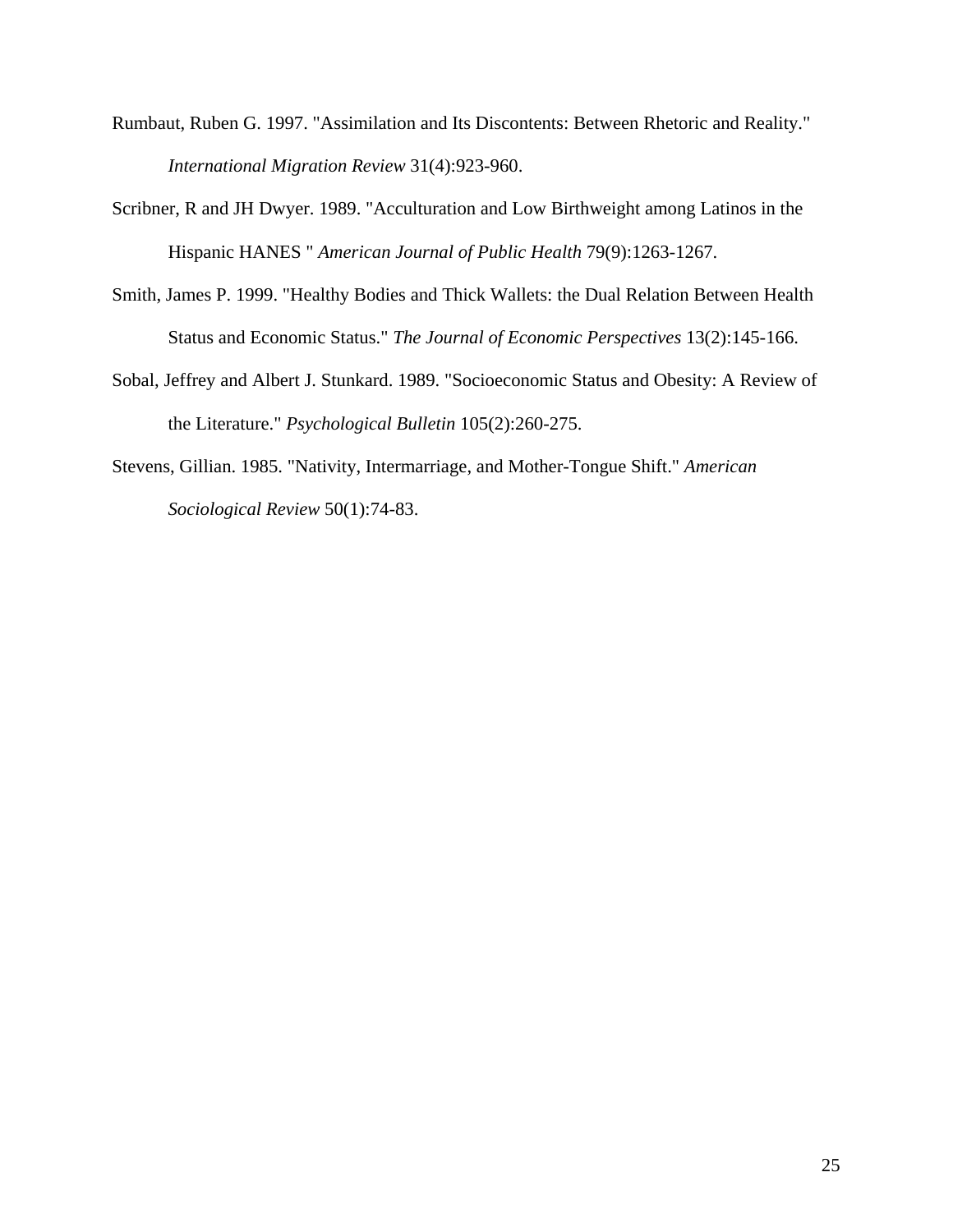- Rumbaut, Ruben G. 1997. "Assimilation and Its Discontents: Between Rhetoric and Reality." *International Migration Review* 31(4):923-960.
- Scribner, R and JH Dwyer. 1989. "Acculturation and Low Birthweight among Latinos in the Hispanic HANES " *American Journal of Public Health* 79(9):1263-1267.
- Smith, James P. 1999. "Healthy Bodies and Thick Wallets: the Dual Relation Between Health Status and Economic Status." *The Journal of Economic Perspectives* 13(2):145-166.
- Sobal, Jeffrey and Albert J. Stunkard. 1989. "Socioeconomic Status and Obesity: A Review of the Literature." *Psychological Bulletin* 105(2):260-275.
- Stevens, Gillian. 1985. "Nativity, Intermarriage, and Mother-Tongue Shift." *American Sociological Review* 50(1):74-83.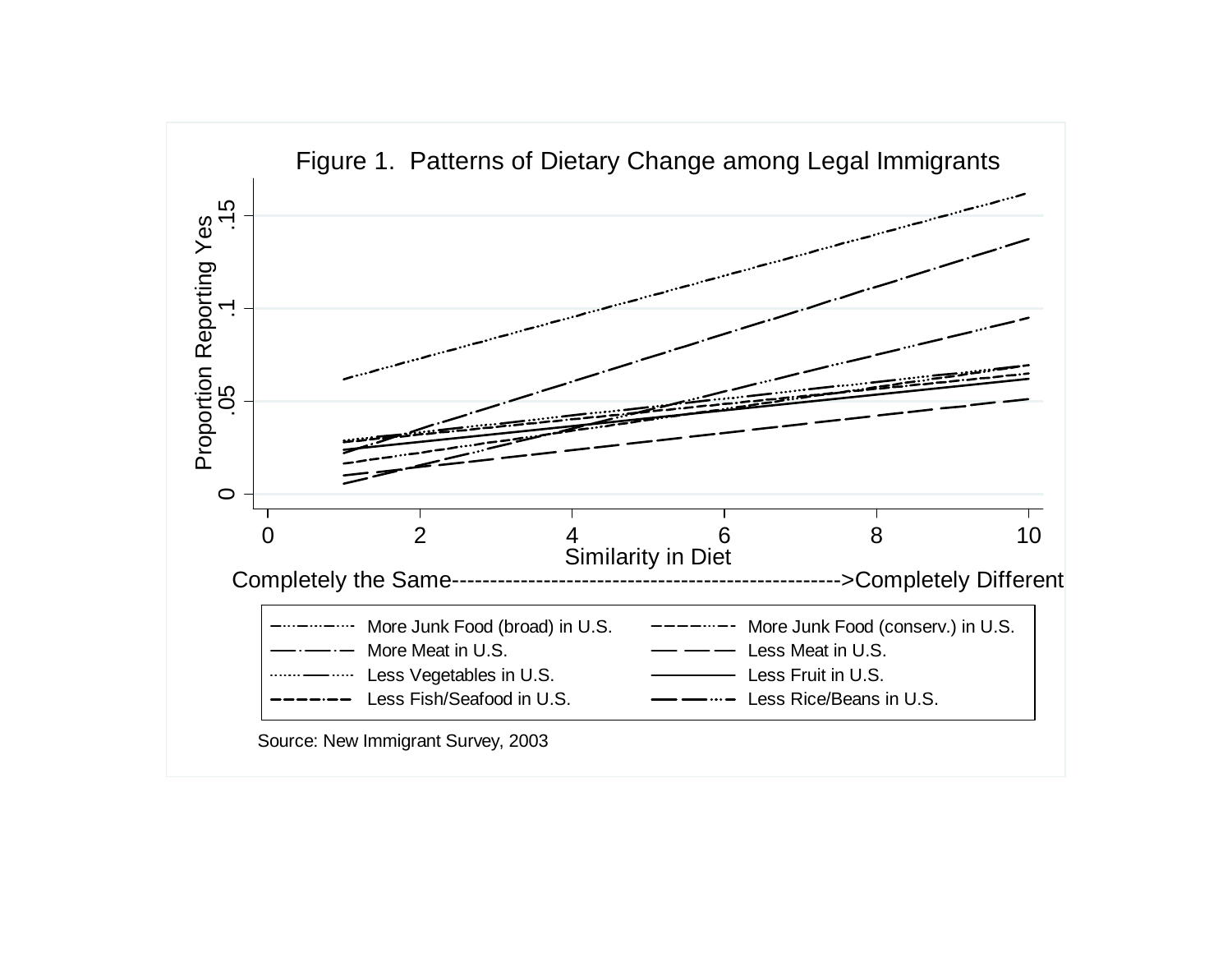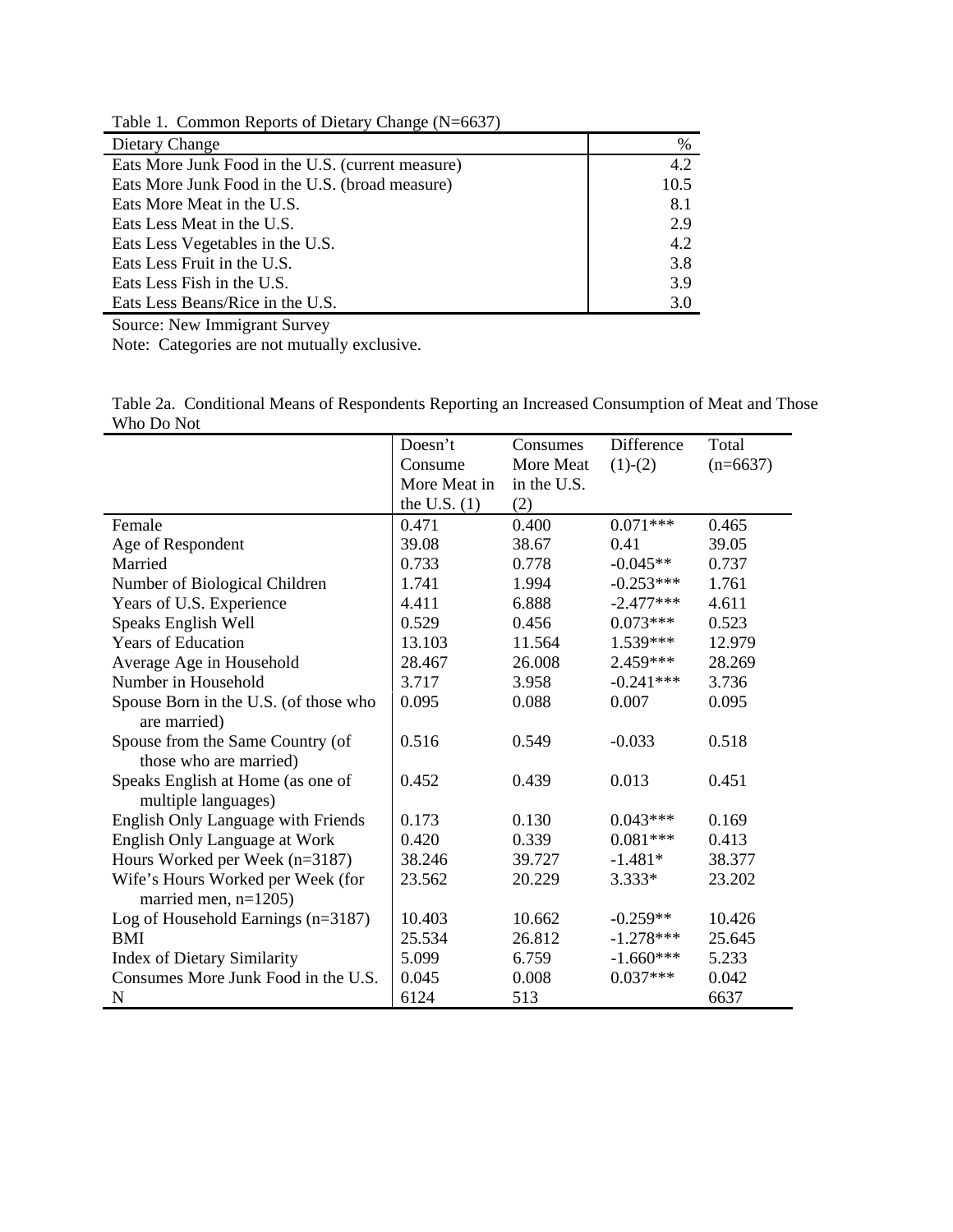Table 1. Common Reports of Dietary Change (N=6637)

| Dietary Change                                    | %    |
|---------------------------------------------------|------|
| Eats More Junk Food in the U.S. (current measure) | 4.2  |
| Eats More Junk Food in the U.S. (broad measure)   | 10.5 |
| Eats More Meat in the U.S.                        | 8.1  |
| Eats Less Meat in the U.S.                        | 2.9  |
| Eats Less Vegetables in the U.S.                  | 4.2  |
| Eats Less Fruit in the U.S.                       | 3.8  |
| Eats Less Fish in the U.S.                        | 3.9  |
| Eats Less Beans/Rice in the U.S.                  | 3.0  |

Source: New Immigrant Survey

Note: Categories are not mutually exclusive.

|            |  |  | Table 2a. Conditional Means of Respondents Reporting an Increased Consumption of Meat and Those |  |
|------------|--|--|-------------------------------------------------------------------------------------------------|--|
| Who Do Not |  |  |                                                                                                 |  |

|                                       | Doesn't        | Consumes    | Difference  | Total      |
|---------------------------------------|----------------|-------------|-------------|------------|
|                                       | Consume        | More Meat   | $(1)-(2)$   | $(n=6637)$ |
|                                       | More Meat in   | in the U.S. |             |            |
|                                       | the U.S. $(1)$ | (2)         |             |            |
| Female                                | 0.471          | 0.400       | $0.071***$  | 0.465      |
| Age of Respondent                     | 39.08          | 38.67       | 0.41        | 39.05      |
| Married                               | 0.733          | 0.778       | $-0.045**$  | 0.737      |
| Number of Biological Children         | 1.741          | 1.994       | $-0.253***$ | 1.761      |
| Years of U.S. Experience              | 4.411          | 6.888       | $-2.477***$ | 4.611      |
| Speaks English Well                   | 0.529          | 0.456       | $0.073***$  | 0.523      |
| <b>Years of Education</b>             | 13.103         | 11.564      | 1.539***    | 12.979     |
| Average Age in Household              | 28.467         | 26.008      | $2.459***$  | 28.269     |
| Number in Household                   | 3.717          | 3.958       | $-0.241***$ | 3.736      |
| Spouse Born in the U.S. (of those who | 0.095          | 0.088       | 0.007       | 0.095      |
| are married)                          |                |             |             |            |
| Spouse from the Same Country (of      | 0.516          | 0.549       | $-0.033$    | 0.518      |
| those who are married)                |                |             |             |            |
| Speaks English at Home (as one of     | 0.452          | 0.439       | 0.013       | 0.451      |
| multiple languages)                   |                |             |             |            |
| English Only Language with Friends    | 0.173          | 0.130       | $0.043***$  | 0.169      |
| English Only Language at Work         | 0.420          | 0.339       | $0.081***$  | 0.413      |
| Hours Worked per Week (n=3187)        | 38.246         | 39.727      | $-1.481*$   | 38.377     |
| Wife's Hours Worked per Week (for     | 23.562         | 20.229      | $3.333*$    | 23.202     |
| married men, $n=1205$ )               |                |             |             |            |
| Log of Household Earnings $(n=3187)$  | 10.403         | 10.662      | $-0.259**$  | 10.426     |
| <b>BMI</b>                            | 25.534         | 26.812      | $-1.278***$ | 25.645     |
| Index of Dietary Similarity           | 5.099          | 6.759       | $-1.660***$ | 5.233      |
| Consumes More Junk Food in the U.S.   | 0.045          | 0.008       | $0.037***$  | 0.042      |
| $\mathbf N$                           | 6124           | 513         |             | 6637       |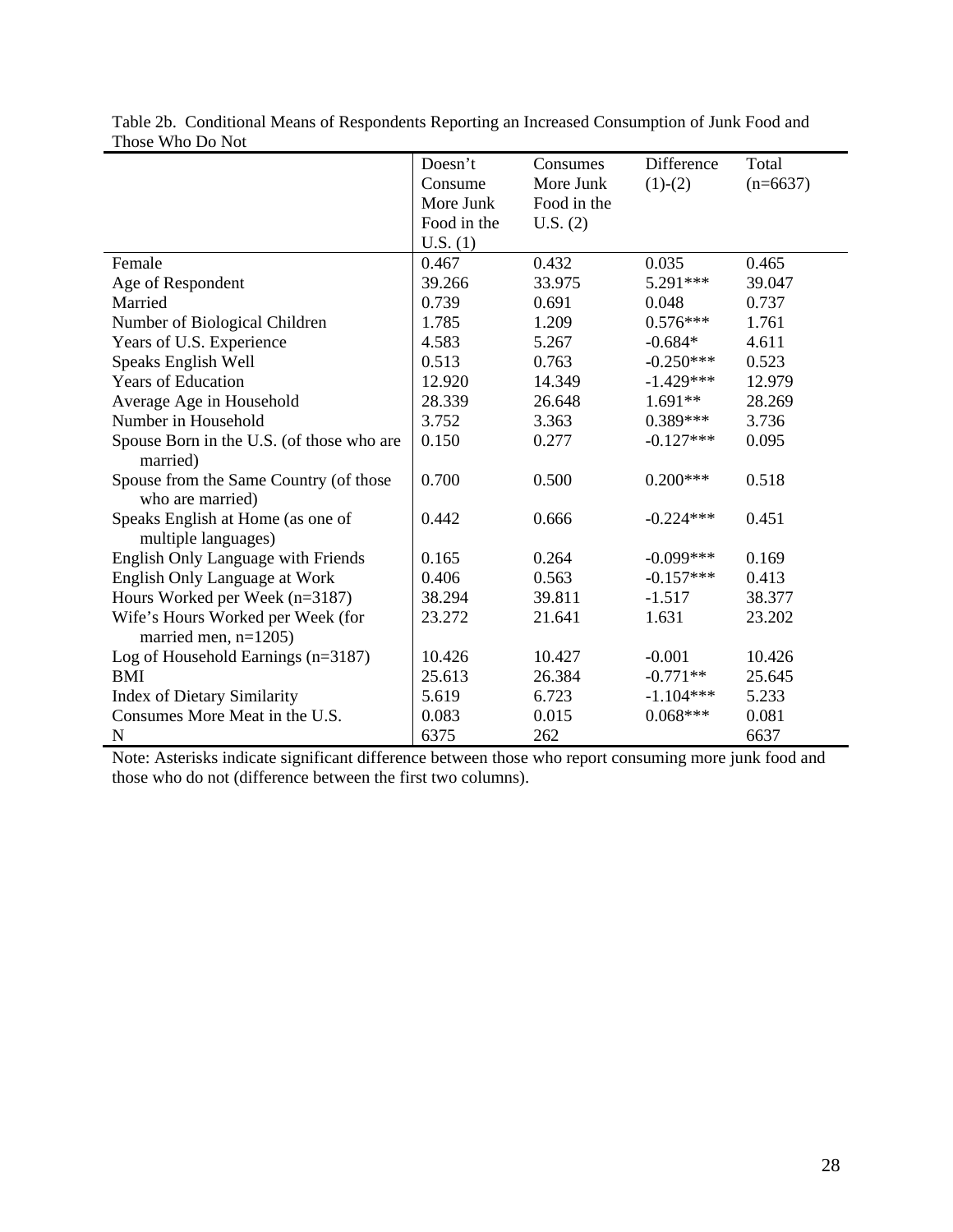|                                                            | Doesn't     | Consumes    | Difference  | Total      |
|------------------------------------------------------------|-------------|-------------|-------------|------------|
|                                                            | Consume     | More Junk   | $(1)-(2)$   | $(n=6637)$ |
|                                                            | More Junk   | Food in the |             |            |
|                                                            | Food in the | U.S. (2)    |             |            |
|                                                            | U.S. (1)    |             |             |            |
| Female                                                     | 0.467       | 0.432       | 0.035       | 0.465      |
| Age of Respondent                                          | 39.266      | 33.975      | 5.291***    | 39.047     |
| Married                                                    | 0.739       | 0.691       | 0.048       | 0.737      |
| Number of Biological Children                              | 1.785       | 1.209       | $0.576***$  | 1.761      |
| Years of U.S. Experience                                   | 4.583       | 5.267       | $-0.684*$   | 4.611      |
| Speaks English Well                                        | 0.513       | 0.763       | $-0.250***$ | 0.523      |
| <b>Years of Education</b>                                  | 12.920      | 14.349      | $-1.429***$ | 12.979     |
| Average Age in Household                                   | 28.339      | 26.648      | $1.691**$   | 28.269     |
| Number in Household                                        | 3.752       | 3.363       | $0.389***$  | 3.736      |
| Spouse Born in the U.S. (of those who are<br>married)      | 0.150       | 0.277       | $-0.127***$ | 0.095      |
| Spouse from the Same Country (of those<br>who are married) | 0.700       | 0.500       | $0.200***$  | 0.518      |
| Speaks English at Home (as one of<br>multiple languages)   | 0.442       | 0.666       | $-0.224***$ | 0.451      |
| <b>English Only Language with Friends</b>                  | 0.165       | 0.264       | $-0.099***$ | 0.169      |
| English Only Language at Work                              | 0.406       | 0.563       | $-0.157***$ | 0.413      |
| Hours Worked per Week (n=3187)                             | 38.294      | 39.811      | $-1.517$    | 38.377     |
| Wife's Hours Worked per Week (for                          | 23.272      | 21.641      | 1.631       | 23.202     |
| married men, $n=1205$ )                                    |             |             |             |            |
| Log of Household Earnings $(n=3187)$                       | 10.426      | 10.427      | $-0.001$    | 10.426     |
| <b>BMI</b>                                                 | 25.613      | 26.384      | $-0.771**$  | 25.645     |
| <b>Index of Dietary Similarity</b>                         | 5.619       | 6.723       | $-1.104***$ | 5.233      |
| Consumes More Meat in the U.S.                             | 0.083       | 0.015       | $0.068***$  | 0.081      |
| ${\bf N}$                                                  | 6375        | 262         |             | 6637       |

Table 2b. Conditional Means of Respondents Reporting an Increased Consumption of Junk Food and Those Who Do Not

Note: Asterisks indicate significant difference between those who report consuming more junk food and those who do not (difference between the first two columns).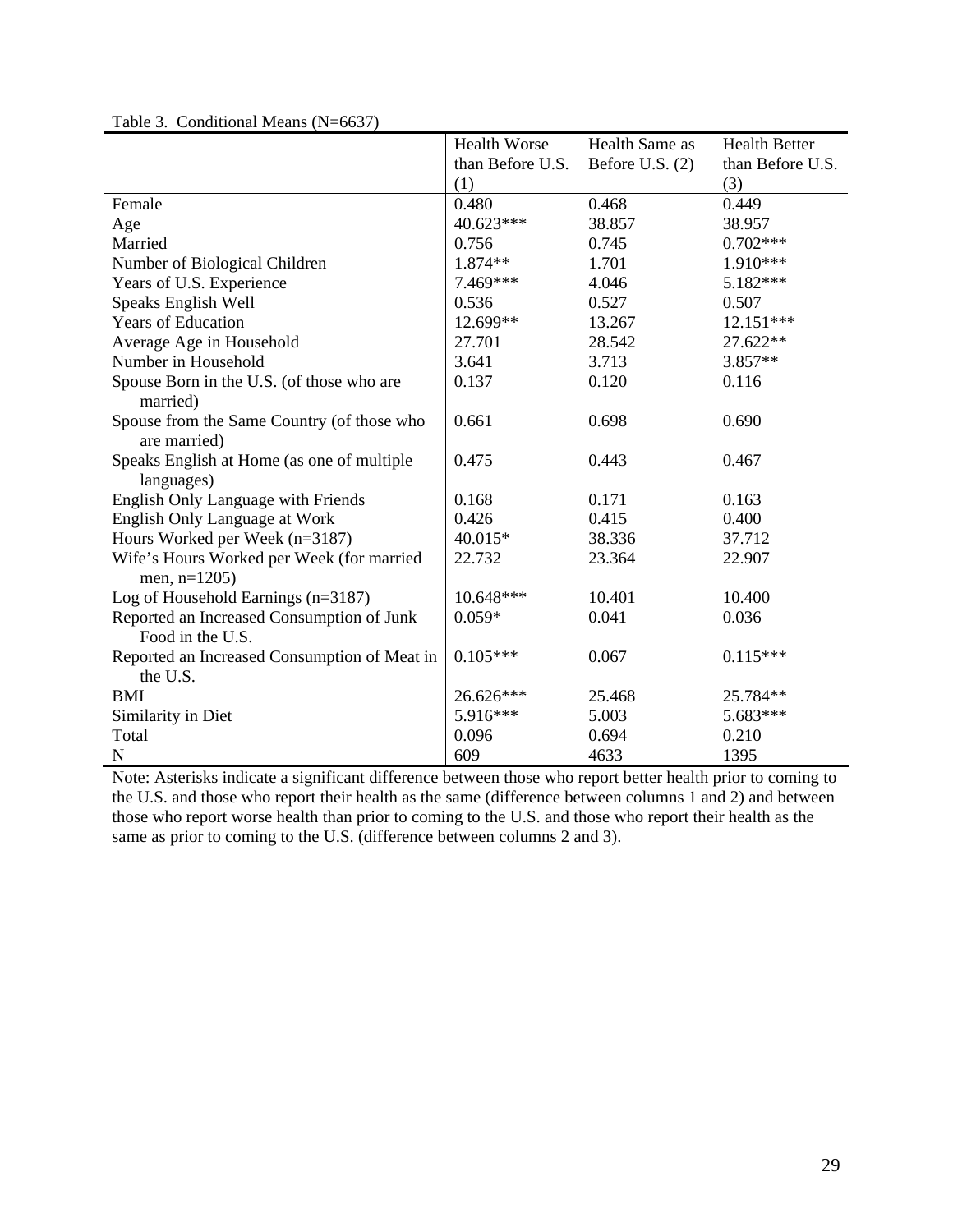|                                                               | <b>Health Worse</b> | Health Same as    | <b>Health Better</b> |
|---------------------------------------------------------------|---------------------|-------------------|----------------------|
|                                                               | than Before U.S.    | Before U.S. $(2)$ | than Before U.S.     |
|                                                               | (1)                 |                   | (3)                  |
| Female                                                        | 0.480               | 0.468             | 0.449                |
| Age                                                           | 40.623***           | 38.857            | 38.957               |
| Married                                                       | 0.756               | 0.745             | $0.702***$           |
| Number of Biological Children                                 | 1.874**             | 1.701             | 1.910***             |
| Years of U.S. Experience                                      | 7.469***            | 4.046             | 5.182***             |
| Speaks English Well                                           | 0.536               | 0.527             | 0.507                |
| <b>Years of Education</b>                                     | 12.699**            | 13.267            | 12.151***            |
| Average Age in Household                                      | 27.701              | 28.542            | 27.622**             |
| Number in Household                                           | 3.641               | 3.713             | $3.857**$            |
| Spouse Born in the U.S. (of those who are                     | 0.137               | 0.120             | 0.116                |
| married)                                                      |                     |                   |                      |
| Spouse from the Same Country (of those who<br>are married)    | 0.661               | 0.698             | 0.690                |
| Speaks English at Home (as one of multiple                    | 0.475               | 0.443             | 0.467                |
| languages)                                                    |                     |                   |                      |
| English Only Language with Friends                            | 0.168               | 0.171             | 0.163                |
| English Only Language at Work                                 | 0.426               | 0.415             | 0.400                |
| Hours Worked per Week (n=3187)                                | 40.015*             | 38.336            | 37.712               |
| Wife's Hours Worked per Week (for married                     | 22.732              | 23.364            | 22.907               |
| men, $n=1205$ )                                               | 10.648***           | 10.401            | 10.400               |
| Log of Household Earnings $(n=3187)$                          | $0.059*$            | 0.041             | 0.036                |
| Reported an Increased Consumption of Junk<br>Food in the U.S. |                     |                   |                      |
| Reported an Increased Consumption of Meat in                  | $0.105***$          | 0.067             | $0.115***$           |
| the U.S.                                                      |                     |                   |                      |
| <b>BMI</b>                                                    | 26.626***           | 25.468            | 25.784**             |
| Similarity in Diet                                            | 5.916***            | 5.003             | 5.683***             |
| Total                                                         | 0.096               | 0.694             | 0.210                |
| N                                                             | 609                 | 4633              | 1395                 |

Table 3. Conditional Means (N=6637)

Note: Asterisks indicate a significant difference between those who report better health prior to coming to the U.S. and those who report their health as the same (difference between columns 1 and 2) and between those who report worse health than prior to coming to the U.S. and those who report their health as the same as prior to coming to the U.S. (difference between columns 2 and 3).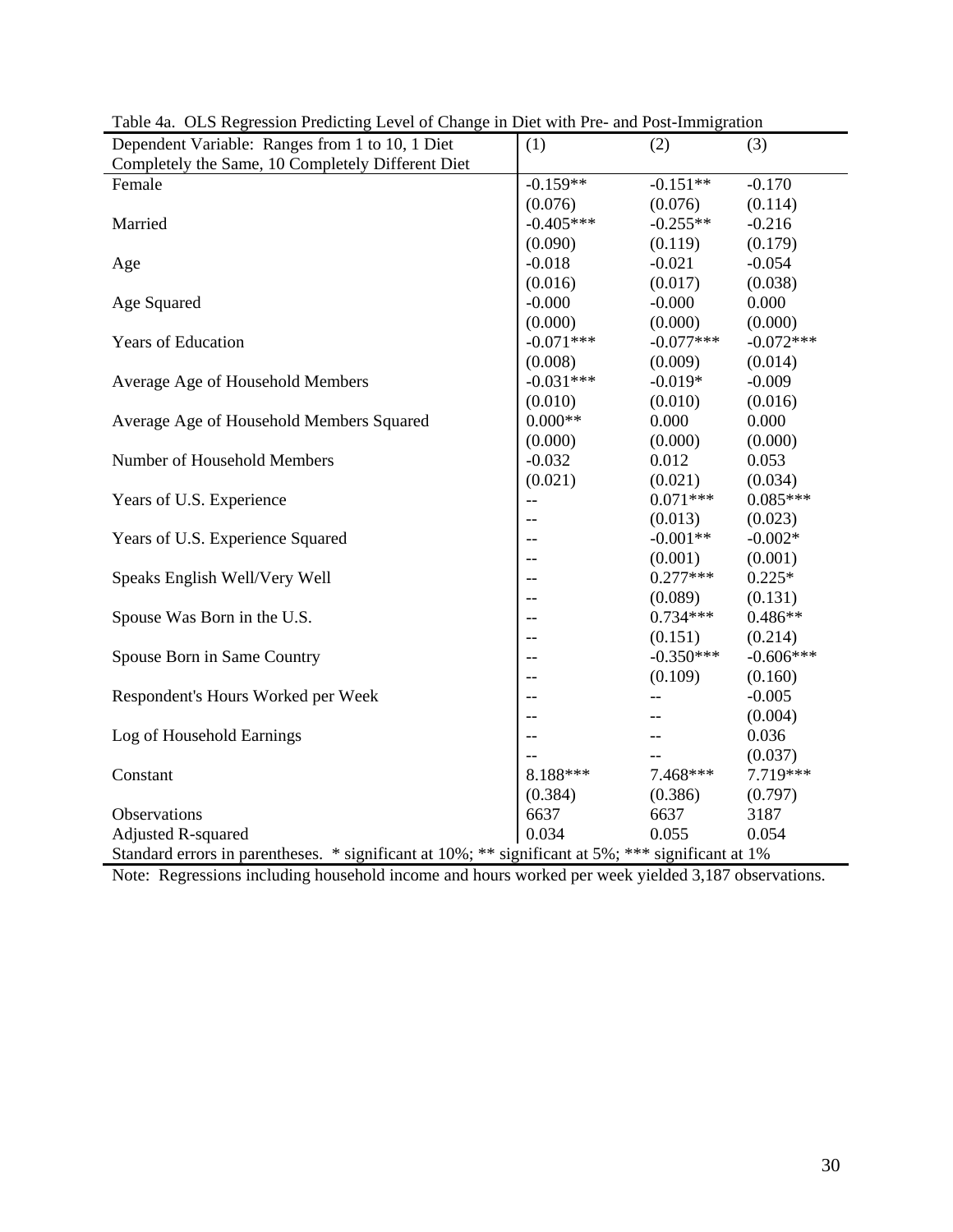| Dependent Variable: Ranges from 1 to 10, 1 Diet                                                   | (1)         | (2)               | (3)         |  |  |
|---------------------------------------------------------------------------------------------------|-------------|-------------------|-------------|--|--|
| Completely the Same, 10 Completely Different Diet                                                 |             |                   |             |  |  |
| Female                                                                                            | $-0.159**$  | $-0.151**$        | $-0.170$    |  |  |
|                                                                                                   | (0.076)     | (0.076)           | (0.114)     |  |  |
| Married                                                                                           | $-0.405***$ | $-0.255**$        | $-0.216$    |  |  |
|                                                                                                   | (0.090)     | (0.119)           | (0.179)     |  |  |
| Age                                                                                               | $-0.018$    | $-0.021$          | $-0.054$    |  |  |
|                                                                                                   | (0.016)     | (0.017)           | (0.038)     |  |  |
| Age Squared                                                                                       | $-0.000$    | $-0.000$          | 0.000       |  |  |
|                                                                                                   | (0.000)     | (0.000)           | (0.000)     |  |  |
| Years of Education                                                                                | $-0.071***$ | $-0.077***$       | $-0.072***$ |  |  |
|                                                                                                   | (0.008)     | (0.009)           | (0.014)     |  |  |
| Average Age of Household Members                                                                  | $-0.031***$ | $-0.019*$         | $-0.009$    |  |  |
|                                                                                                   | (0.010)     | (0.010)           | (0.016)     |  |  |
| Average Age of Household Members Squared                                                          | $0.000**$   | 0.000             | 0.000       |  |  |
|                                                                                                   | (0.000)     | (0.000)           | (0.000)     |  |  |
| Number of Household Members                                                                       | $-0.032$    | 0.012             | 0.053       |  |  |
|                                                                                                   | (0.021)     | (0.021)           | (0.034)     |  |  |
| Years of U.S. Experience                                                                          | $-$         | $0.071***$        | $0.085***$  |  |  |
|                                                                                                   | $-$         | (0.013)           | (0.023)     |  |  |
| Years of U.S. Experience Squared                                                                  | $-$         | $-0.001**$        | $-0.002*$   |  |  |
|                                                                                                   | $-$         | (0.001)           | (0.001)     |  |  |
| Speaks English Well/Very Well                                                                     | $-$         | $0.277***$        | $0.225*$    |  |  |
|                                                                                                   | --          | (0.089)           | (0.131)     |  |  |
| Spouse Was Born in the U.S.                                                                       | $-$         | $0.734***$        | $0.486**$   |  |  |
|                                                                                                   | $-$         | (0.151)           | (0.214)     |  |  |
| Spouse Born in Same Country                                                                       | $-$         | $-0.350***$       | $-0.606***$ |  |  |
|                                                                                                   | --          | (0.109)           | (0.160)     |  |  |
| Respondent's Hours Worked per Week                                                                |             | $-$               | $-0.005$    |  |  |
|                                                                                                   | $-$         | $- -$             | (0.004)     |  |  |
| Log of Household Earnings                                                                         | $-$         | $\qquad \qquad -$ | 0.036       |  |  |
|                                                                                                   |             |                   | (0.037)     |  |  |
| Constant                                                                                          | 8.188***    | 7.468***          | 7.719***    |  |  |
|                                                                                                   | (0.384)     | (0.386)           | (0.797)     |  |  |
| Observations                                                                                      | 6637        | 6637              | 3187        |  |  |
| <b>Adjusted R-squared</b>                                                                         | 0.034       | 0.055             | 0.054       |  |  |
| Standard errors in parentheses. * significant at 10%; ** significant at 5%; *** significant at 1% |             |                   |             |  |  |

Table 4a. OLS Regression Predicting Level of Change in Diet with Pre- and Post-Immigration

Note: Regressions including household income and hours worked per week yielded 3,187 observations.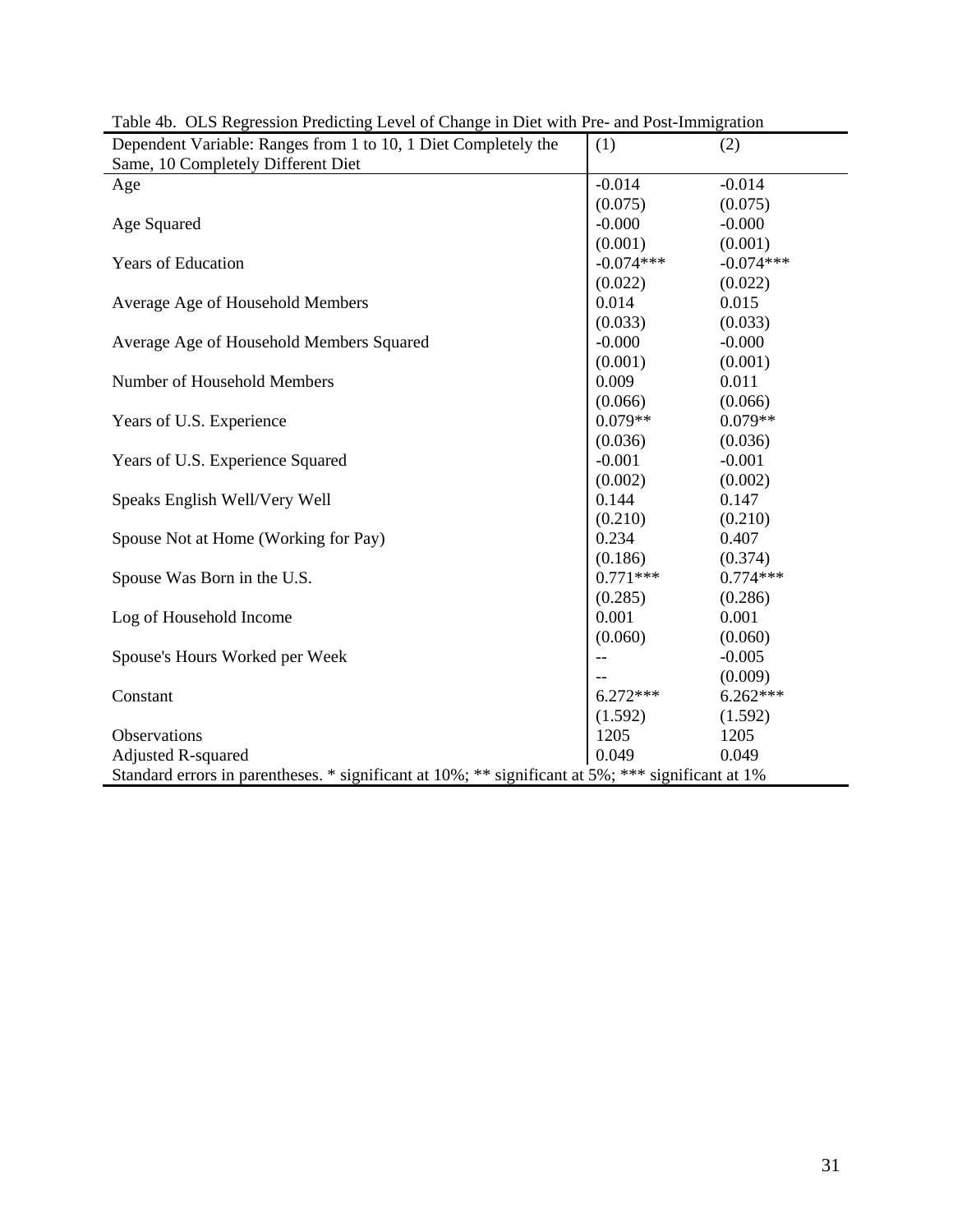| Dependent Variable: Ranges from 1 to 10, 1 Diet Completely the                                    | (1)         | (2)         |
|---------------------------------------------------------------------------------------------------|-------------|-------------|
| Same, 10 Completely Different Diet                                                                |             |             |
| Age                                                                                               | $-0.014$    | $-0.014$    |
|                                                                                                   | (0.075)     | (0.075)     |
| Age Squared                                                                                       | $-0.000$    | $-0.000$    |
|                                                                                                   | (0.001)     | (0.001)     |
| Years of Education                                                                                | $-0.074***$ | $-0.074***$ |
|                                                                                                   | (0.022)     | (0.022)     |
| Average Age of Household Members                                                                  | 0.014       | 0.015       |
|                                                                                                   | (0.033)     | (0.033)     |
| Average Age of Household Members Squared                                                          | $-0.000$    | $-0.000$    |
|                                                                                                   | (0.001)     | (0.001)     |
| Number of Household Members                                                                       | 0.009       | 0.011       |
|                                                                                                   | (0.066)     | (0.066)     |
| Years of U.S. Experience                                                                          | $0.079**$   | $0.079**$   |
|                                                                                                   | (0.036)     | (0.036)     |
| Years of U.S. Experience Squared                                                                  | $-0.001$    | $-0.001$    |
|                                                                                                   | (0.002)     | (0.002)     |
| Speaks English Well/Very Well                                                                     | 0.144       | 0.147       |
|                                                                                                   | (0.210)     | (0.210)     |
| Spouse Not at Home (Working for Pay)                                                              | 0.234       | 0.407       |
|                                                                                                   | (0.186)     | (0.374)     |
| Spouse Was Born in the U.S.                                                                       | $0.771***$  | $0.774***$  |
|                                                                                                   | (0.285)     | (0.286)     |
| Log of Household Income                                                                           | 0.001       | 0.001       |
|                                                                                                   | (0.060)     | (0.060)     |
| Spouse's Hours Worked per Week                                                                    |             | $-0.005$    |
|                                                                                                   |             | (0.009)     |
| Constant                                                                                          | $6.272***$  | $6.262***$  |
|                                                                                                   | (1.592)     | (1.592)     |
| Observations                                                                                      | 1205        | 1205        |
| <b>Adjusted R-squared</b>                                                                         | 0.049       | 0.049       |
| Standard errors in parentheses. * significant at 10%; ** significant at 5%; *** significant at 1% |             |             |

Table 4b. OLS Regression Predicting Level of Change in Diet with Pre- and Post-Immigration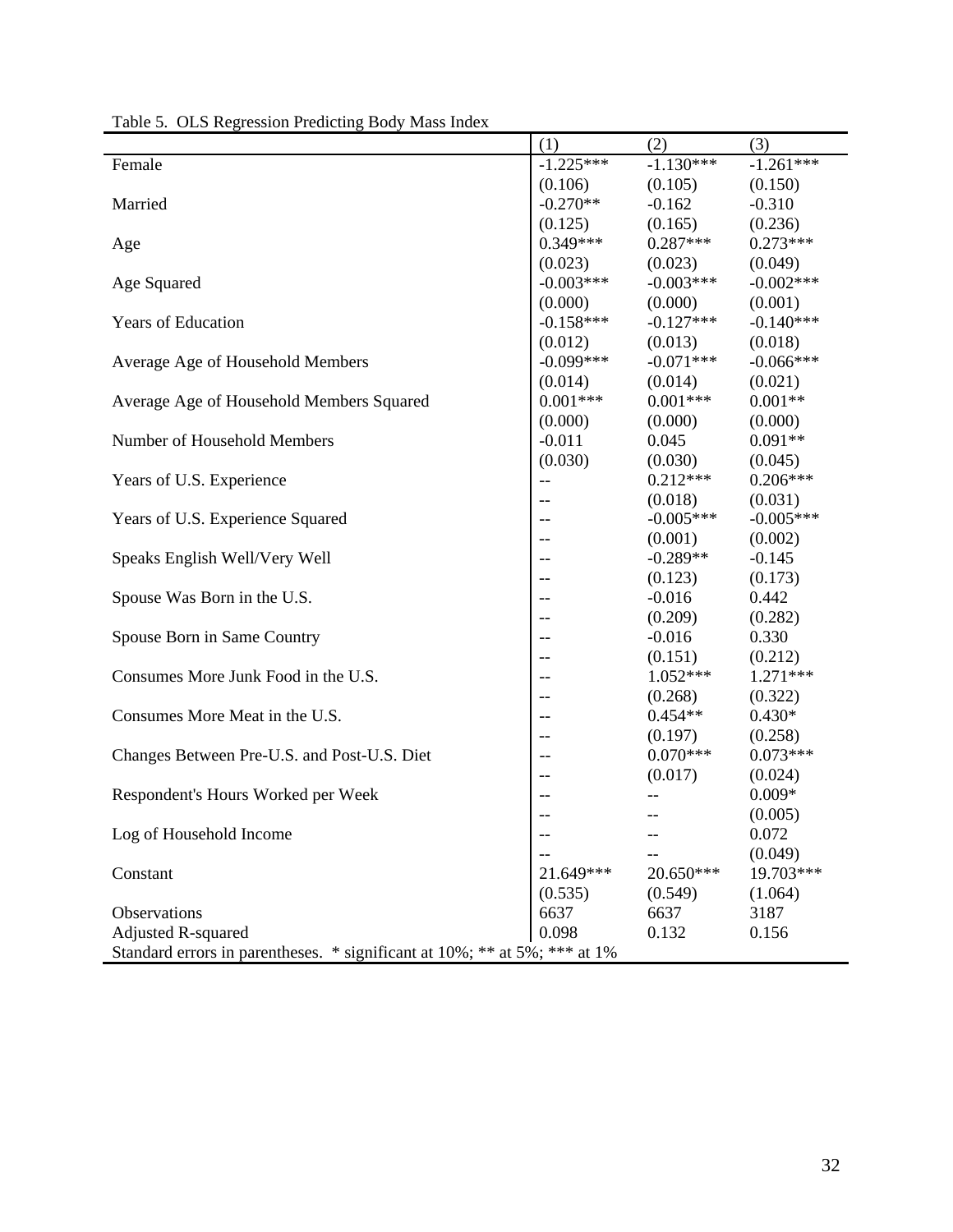|                                                                           | (1)         | (2)         | (3)         |  |  |  |
|---------------------------------------------------------------------------|-------------|-------------|-------------|--|--|--|
| Female                                                                    | $-1.225***$ | $-1.130***$ | $-1.261***$ |  |  |  |
|                                                                           | (0.106)     | (0.105)     | (0.150)     |  |  |  |
| Married                                                                   | $-0.270**$  | $-0.162$    | $-0.310$    |  |  |  |
|                                                                           | (0.125)     | (0.165)     | (0.236)     |  |  |  |
| Age                                                                       | $0.349***$  | $0.287***$  | $0.273***$  |  |  |  |
|                                                                           | (0.023)     | (0.023)     | (0.049)     |  |  |  |
| Age Squared                                                               | $-0.003***$ | $-0.003***$ | $-0.002***$ |  |  |  |
|                                                                           | (0.000)     | (0.000)     | (0.001)     |  |  |  |
| Years of Education                                                        | $-0.158***$ | $-0.127***$ | $-0.140***$ |  |  |  |
|                                                                           | (0.012)     | (0.013)     | (0.018)     |  |  |  |
| Average Age of Household Members                                          | $-0.099***$ | $-0.071***$ | $-0.066***$ |  |  |  |
|                                                                           | (0.014)     | (0.014)     | (0.021)     |  |  |  |
| Average Age of Household Members Squared                                  | $0.001***$  | $0.001***$  | $0.001**$   |  |  |  |
|                                                                           | (0.000)     | (0.000)     | (0.000)     |  |  |  |
| Number of Household Members                                               | $-0.011$    | 0.045       | $0.091**$   |  |  |  |
|                                                                           | (0.030)     | (0.030)     | (0.045)     |  |  |  |
| Years of U.S. Experience                                                  | $-$         | $0.212***$  | $0.206***$  |  |  |  |
|                                                                           | $-$         | (0.018)     | (0.031)     |  |  |  |
| Years of U.S. Experience Squared                                          | $-$         | $-0.005***$ | $-0.005***$ |  |  |  |
|                                                                           | $-$         | (0.001)     | (0.002)     |  |  |  |
| Speaks English Well/Very Well                                             | --          | $-0.289**$  | $-0.145$    |  |  |  |
|                                                                           | $-$         | (0.123)     | (0.173)     |  |  |  |
| Spouse Was Born in the U.S.                                               |             | $-0.016$    | 0.442       |  |  |  |
|                                                                           | --          | (0.209)     | (0.282)     |  |  |  |
| Spouse Born in Same Country                                               | $-$         | $-0.016$    | 0.330       |  |  |  |
|                                                                           | --          | (0.151)     | (0.212)     |  |  |  |
| Consumes More Junk Food in the U.S.                                       | $-$         | $1.052***$  | $1.271***$  |  |  |  |
|                                                                           |             | (0.268)     | (0.322)     |  |  |  |
| Consumes More Meat in the U.S.                                            | $-$         | $0.454**$   | $0.430*$    |  |  |  |
|                                                                           | --          | (0.197)     | (0.258)     |  |  |  |
| Changes Between Pre-U.S. and Post-U.S. Diet                               | $-$         | $0.070***$  | $0.073***$  |  |  |  |
|                                                                           |             | (0.017)     | (0.024)     |  |  |  |
| Respondent's Hours Worked per Week                                        |             |             | $0.009*$    |  |  |  |
|                                                                           | $-$         | --          | (0.005)     |  |  |  |
| Log of Household Income                                                   |             |             | 0.072       |  |  |  |
|                                                                           |             |             | (0.049)     |  |  |  |
| Constant                                                                  | 21.649***   | 20.650***   | 19.703***   |  |  |  |
|                                                                           | (0.535)     | (0.549)     | (1.064)     |  |  |  |
| Observations                                                              | 6637        | 6637        | 3187        |  |  |  |
| <b>Adjusted R-squared</b>                                                 | 0.098       | 0.132       | 0.156       |  |  |  |
| Standard errors in parentheses. * significant at 10%; ** at 5%; *** at 1% |             |             |             |  |  |  |

Table 5. OLS Regression Predicting Body Mass Index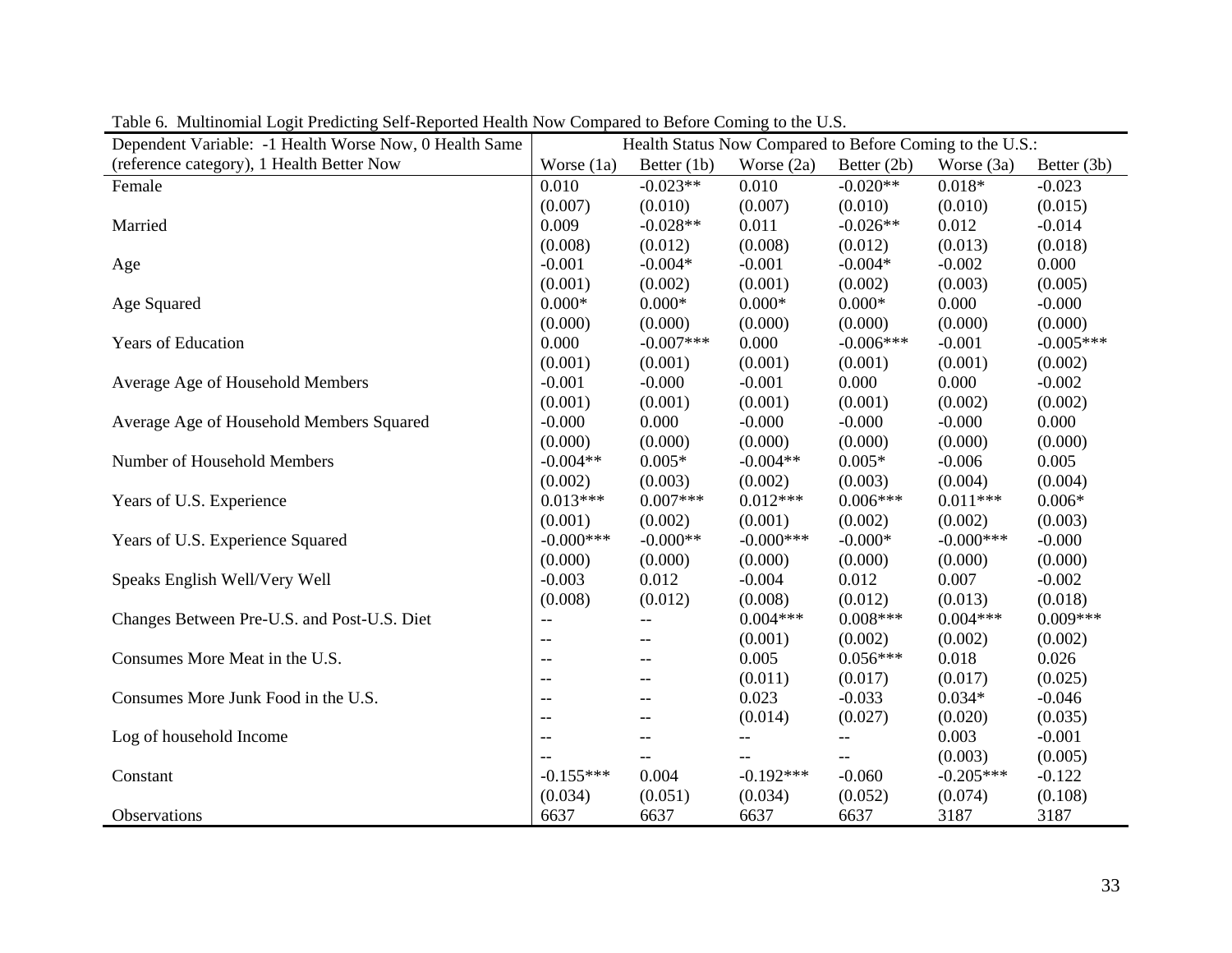| Dependent Variable: -1 Health Worse Now, 0 Health Same |                          | Health Status Now Compared to Before Coming to the U.S.: |              |               |              |             |
|--------------------------------------------------------|--------------------------|----------------------------------------------------------|--------------|---------------|--------------|-------------|
| (reference category), 1 Health Better Now              | Worse $(1a)$             | Better $(1b)$                                            | Worse $(2a)$ | Better $(2b)$ | Worse (3a)   | Better (3b) |
| Female                                                 | 0.010                    | $-0.023**$                                               | 0.010        | $-0.020**$    | $0.018*$     | $-0.023$    |
|                                                        | (0.007)                  | (0.010)                                                  | (0.007)      | (0.010)       | (0.010)      | (0.015)     |
| Married                                                | 0.009                    | $-0.028**$                                               | 0.011        | $-0.026**$    | 0.012        | $-0.014$    |
|                                                        | (0.008)                  | (0.012)                                                  | (0.008)      | (0.012)       | (0.013)      | (0.018)     |
| Age                                                    | $-0.001$                 | $-0.004*$                                                | $-0.001$     | $-0.004*$     | $-0.002$     | 0.000       |
|                                                        | (0.001)                  | (0.002)                                                  | (0.001)      | (0.002)       | (0.003)      | (0.005)     |
| Age Squared                                            | $0.000*$                 | $0.000*$                                                 | $0.000*$     | $0.000*$      | 0.000        | $-0.000$    |
|                                                        | (0.000)                  | (0.000)                                                  | (0.000)      | (0.000)       | (0.000)      | (0.000)     |
| Years of Education                                     | 0.000                    | $-0.007***$                                              | 0.000        | $-0.006***$   | $-0.001$     | $-0.005***$ |
|                                                        | (0.001)                  | (0.001)                                                  | (0.001)      | (0.001)       | (0.001)      | (0.002)     |
| Average Age of Household Members                       | $-0.001$                 | $-0.000$                                                 | $-0.001$     | 0.000         | 0.000        | $-0.002$    |
|                                                        | (0.001)                  | (0.001)                                                  | (0.001)      | (0.001)       | (0.002)      | (0.002)     |
| Average Age of Household Members Squared               | $-0.000$                 | 0.000                                                    | $-0.000$     | $-0.000$      | $-0.000$     | 0.000       |
|                                                        | (0.000)                  | (0.000)                                                  | (0.000)      | (0.000)       | (0.000)      | (0.000)     |
| Number of Household Members                            | $-0.004**$               | $0.005*$                                                 | $-0.004**$   | $0.005*$      | $-0.006$     | 0.005       |
|                                                        | (0.002)                  | (0.003)                                                  | (0.002)      | (0.003)       | (0.004)      | (0.004)     |
| Years of U.S. Experience                               | $0.013***$               | $0.007***$                                               | $0.012***$   | $0.006***$    | $0.011***$   | $0.006*$    |
|                                                        | (0.001)                  | (0.002)                                                  | (0.001)      | (0.002)       | (0.002)      | (0.003)     |
| Years of U.S. Experience Squared                       | $-0.000***$              | $-0.000**$                                               | $-0.000$ *** | $-0.000*$     | $-0.000$ *** | $-0.000$    |
|                                                        | (0.000)                  | (0.000)                                                  | (0.000)      | (0.000)       | (0.000)      | (0.000)     |
| Speaks English Well/Very Well                          | $-0.003$                 | 0.012                                                    | $-0.004$     | 0.012         | 0.007        | $-0.002$    |
|                                                        | (0.008)                  | (0.012)                                                  | (0.008)      | (0.012)       | (0.013)      | (0.018)     |
| Changes Between Pre-U.S. and Post-U.S. Diet            | $\overline{\phantom{m}}$ | $\overline{\phantom{a}}$                                 | $0.004***$   | $0.008***$    | $0.004***$   | $0.009***$  |
|                                                        | $\overline{\phantom{m}}$ | $--$                                                     | (0.001)      | (0.002)       | (0.002)      | (0.002)     |
| Consumes More Meat in the U.S.                         | $-$                      | $--$                                                     | 0.005        | $0.056***$    | 0.018        | 0.026       |
|                                                        | $-$                      | $- -$                                                    | (0.011)      | (0.017)       | (0.017)      | (0.025)     |
| Consumes More Junk Food in the U.S.                    | $-$                      | $--$                                                     | 0.023        | $-0.033$      | $0.034*$     | $-0.046$    |
|                                                        | $-$                      | $-$                                                      | (0.014)      | (0.027)       | (0.020)      | (0.035)     |
| Log of household Income                                | $-$                      | $-$                                                      | $-$          | $-$           | 0.003        | $-0.001$    |
|                                                        |                          | --                                                       |              | --            | (0.003)      | (0.005)     |
| Constant                                               | $-0.155***$              | 0.004                                                    | $-0.192***$  | $-0.060$      | $-0.205***$  | $-0.122$    |
|                                                        | (0.034)                  | (0.051)                                                  | (0.034)      | (0.052)       | (0.074)      | (0.108)     |
| Observations                                           | 6637                     | 6637                                                     | 6637         | 6637          | 3187         | 3187        |

Table 6. Multinomial Logit Predicting Self-Reported Health Now Compared to Before Coming to the U.S.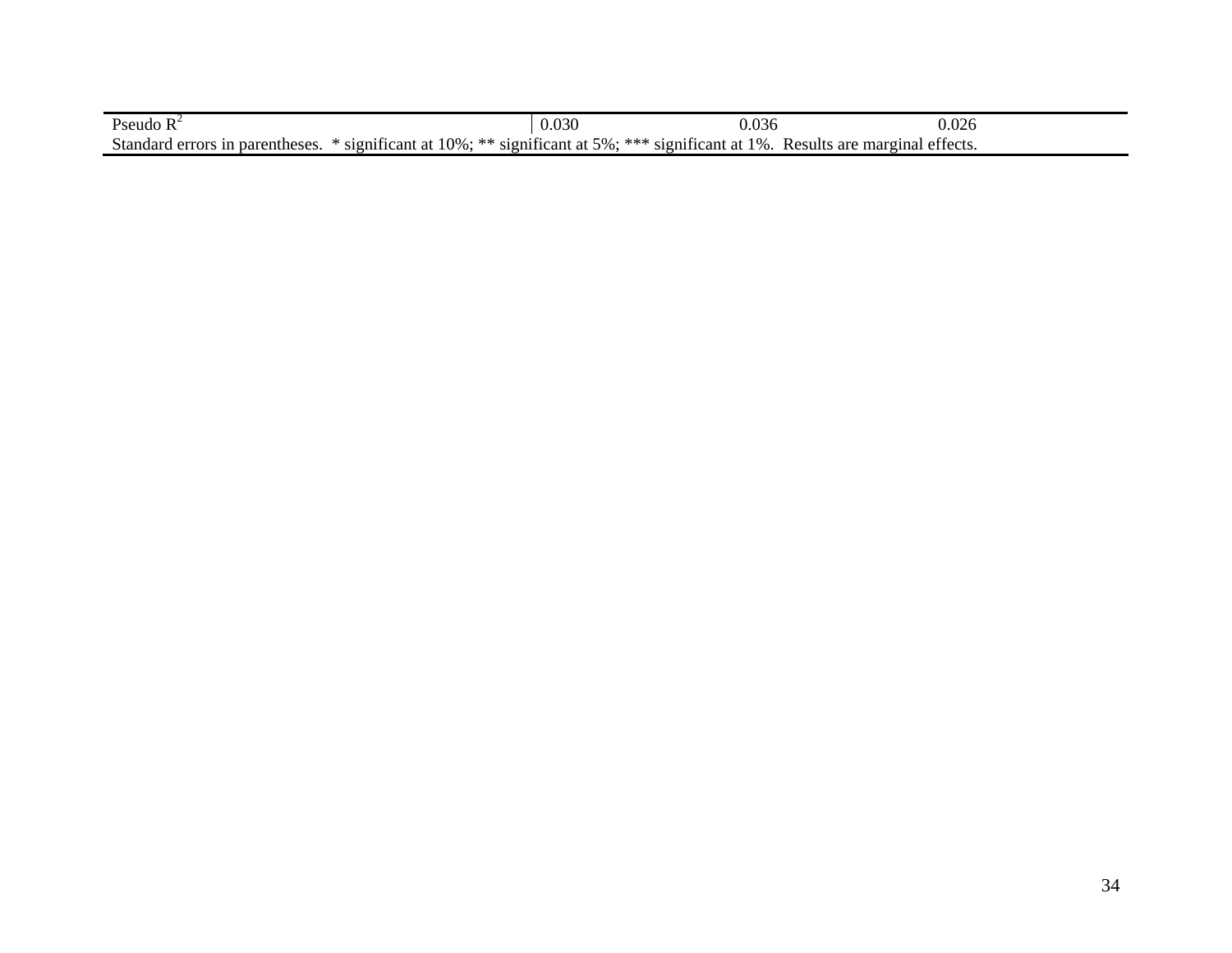| Pseudo R                                                                                                                            | 0.030 | 0.036 | 0.026 |
|-------------------------------------------------------------------------------------------------------------------------------------|-------|-------|-------|
| Standard errors in parentheses.<br>* significant at 10%; ** significant at 5%; *** significant at 1%. Results are marginal effects. |       |       |       |